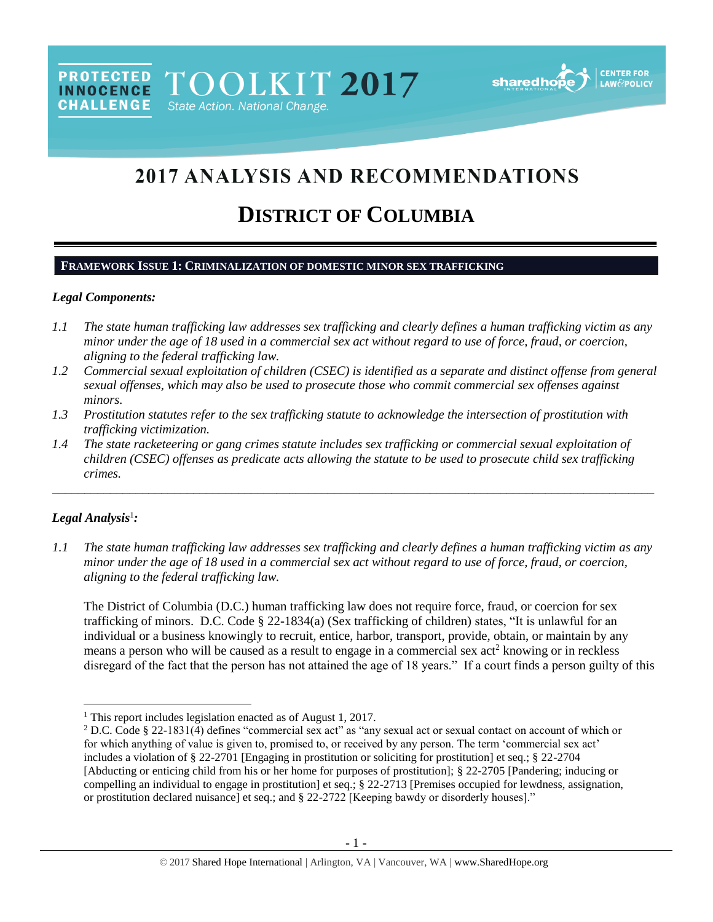TOOLKIT 2017 State Action. National Change.



# 2017 ANALYSIS AND RECOMMENDATIONS

# **DISTRICT OF COLUMBIA**

#### **FRAMEWORK ISSUE 1: CRIMINALIZATION OF DOMESTIC MINOR SEX TRAFFICKING**

#### *Legal Components:*

**PROTECTED** 

**INNOCENCE CHALLENGE** 

- *1.1 The state human trafficking law addresses sex trafficking and clearly defines a human trafficking victim as any minor under the age of 18 used in a commercial sex act without regard to use of force, fraud, or coercion, aligning to the federal trafficking law.*
- *1.2 Commercial sexual exploitation of children (CSEC) is identified as a separate and distinct offense from general sexual offenses, which may also be used to prosecute those who commit commercial sex offenses against minors.*
- *1.3 Prostitution statutes refer to the sex trafficking statute to acknowledge the intersection of prostitution with trafficking victimization.*
- *1.4 The state racketeering or gang crimes statute includes sex trafficking or commercial sexual exploitation of children (CSEC) offenses as predicate acts allowing the statute to be used to prosecute child sex trafficking crimes.*

\_\_\_\_\_\_\_\_\_\_\_\_\_\_\_\_\_\_\_\_\_\_\_\_\_\_\_\_\_\_\_\_\_\_\_\_\_\_\_\_\_\_\_\_\_\_\_\_\_\_\_\_\_\_\_\_\_\_\_\_\_\_\_\_\_\_\_\_\_\_\_\_\_\_\_\_\_\_\_\_\_\_\_\_\_\_\_\_\_\_\_\_\_\_

# *Legal Analysis*<sup>1</sup> *:*

 $\overline{a}$ 

*1.1 The state human trafficking law addresses sex trafficking and clearly defines a human trafficking victim as any minor under the age of 18 used in a commercial sex act without regard to use of force, fraud, or coercion, aligning to the federal trafficking law.*

The District of Columbia (D.C.) human trafficking law does not require force, fraud, or coercion for sex trafficking of minors. D.C. Code § 22-1834(a) (Sex trafficking of children) states, "It is unlawful for an individual or a business knowingly to recruit, entice, harbor, transport, provide, obtain, or maintain by any means a person who will be caused as a result to engage in a commercial sex  $\text{act}^2$  knowing or in reckless disregard of the fact that the person has not attained the age of 18 years." If a court finds a person guilty of this

<sup>&</sup>lt;sup>1</sup> This report includes legislation enacted as of August 1, 2017.

<sup>&</sup>lt;sup>2</sup> D.C. Code § 22-1831(4) defines "commercial sex act" as "any sexual act or sexual contact on account of which or for which anything of value is given to, promised to, or received by any person. The term 'commercial sex act' includes a violation of § 22-2701 [Engaging in prostitution or soliciting for prostitution] et seq.; § 22-2704 [Abducting or enticing child from his or her home for purposes of prostitution]; [§ 22-2705](http://www.lexis.com/research/buttonTFLink?_m=885c15e1bec77c1b8d4b0f41eba76d71&_xfercite=%3ccite%20cc%3d%22USA%22%3e%3c%21%5bCDATA%5bD.C.%20Code%20%a7%2022-1831%5d%5d%3e%3c%2fcite%3e&_butType=4&_butStat=0&_butNum=4&_butInline=1&_butinfo=DCCODE%2022-2705&_fmtstr=FULL&docnum=1&_startdoc=1&wchp=dGLzVzz-zSkAA&_md5=7a74531524352acf7dfa8b3ca63c9f3a) [Pandering; inducing or compelling an individual to engage in prostitution] et seq.; § 22-2713 [Premises occupied for lewdness, assignation, or prostitution declared nuisance] et seq.; and § 22-2722 [Keeping bawdy or disorderly houses]."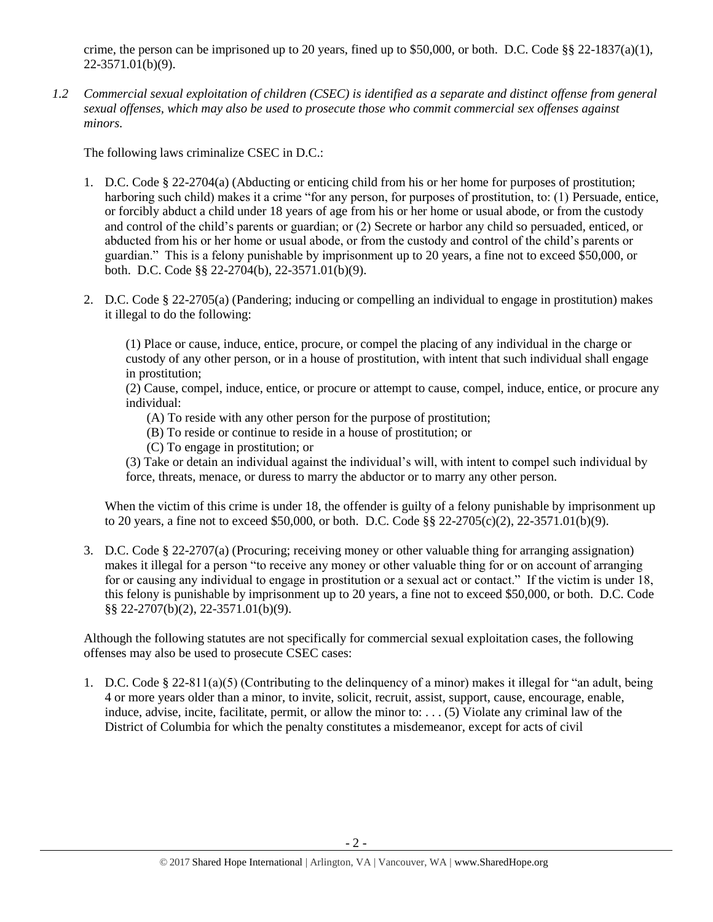crime, the person can be imprisoned up to 20 years, fined up to \$50,000, or both. D.C. Code  $\S$ § 22-1837(a)(1), 22-3571.01(b)(9).

*1.2 Commercial sexual exploitation of children (CSEC) is identified as a separate and distinct offense from general sexual offenses, which may also be used to prosecute those who commit commercial sex offenses against minors.*

The following laws criminalize CSEC in D.C.:

- 1. D.C. Code § 22-2704(a) (Abducting or enticing child from his or her home for purposes of prostitution; harboring such child) makes it a crime "for any person, for purposes of prostitution, to: (1) Persuade, entice, or forcibly abduct a child under 18 years of age from his or her home or usual abode, or from the custody and control of the child's parents or guardian; or (2) Secrete or harbor any child so persuaded, enticed, or abducted from his or her home or usual abode, or from the custody and control of the child's parents or guardian." This is a felony punishable by imprisonment up to 20 years, a fine not to exceed \$50,000, or both. D.C. Code §§ 22-2704(b), 22-3571.01(b)(9).
- 2. D.C. Code § 22-2705(a) (Pandering; inducing or compelling an individual to engage in prostitution) makes it illegal to do the following:

(1) Place or cause, induce, entice, procure, or compel the placing of any individual in the charge or custody of any other person, or in a house of prostitution, with intent that such individual shall engage in prostitution;

(2) Cause, compel, induce, entice, or procure or attempt to cause, compel, induce, entice, or procure any individual:

- (A) To reside with any other person for the purpose of prostitution;
- (B) To reside or continue to reside in a house of prostitution; or
- (C) To engage in prostitution; or

(3) Take or detain an individual against the individual's will, with intent to compel such individual by force, threats, menace, or duress to marry the abductor or to marry any other person.

When the victim of this crime is under 18, the offender is guilty of a felony punishable by imprisonment up to 20 years, a fine not to exceed \$50,000, or both. D.C. Code §§ 22-2705(c)(2), 22-3571.01(b)(9).

3. D.C. Code § 22-2707(a) (Procuring; receiving money or other valuable thing for arranging assignation) makes it illegal for a person "to receive any money or other valuable thing for or on account of arranging for or causing any individual to engage in prostitution or a sexual act or contact." If the victim is under 18, this felony is punishable by imprisonment up to 20 years, a fine not to exceed \$50,000, or both. D.C. Code §§ 22-2707(b)(2), 22-3571.01(b)(9).

Although the following statutes are not specifically for commercial sexual exploitation cases, the following offenses may also be used to prosecute CSEC cases:

1. D.C. Code § 22-811(a)(5) (Contributing to the delinquency of a minor) makes it illegal for "an adult, being 4 or more years older than a minor, to invite, solicit, recruit, assist, support, cause, encourage, enable, induce, advise, incite, facilitate, permit, or allow the minor to: . . . (5) Violate any criminal law of the District of Columbia for which the penalty constitutes a misdemeanor, except for acts of civil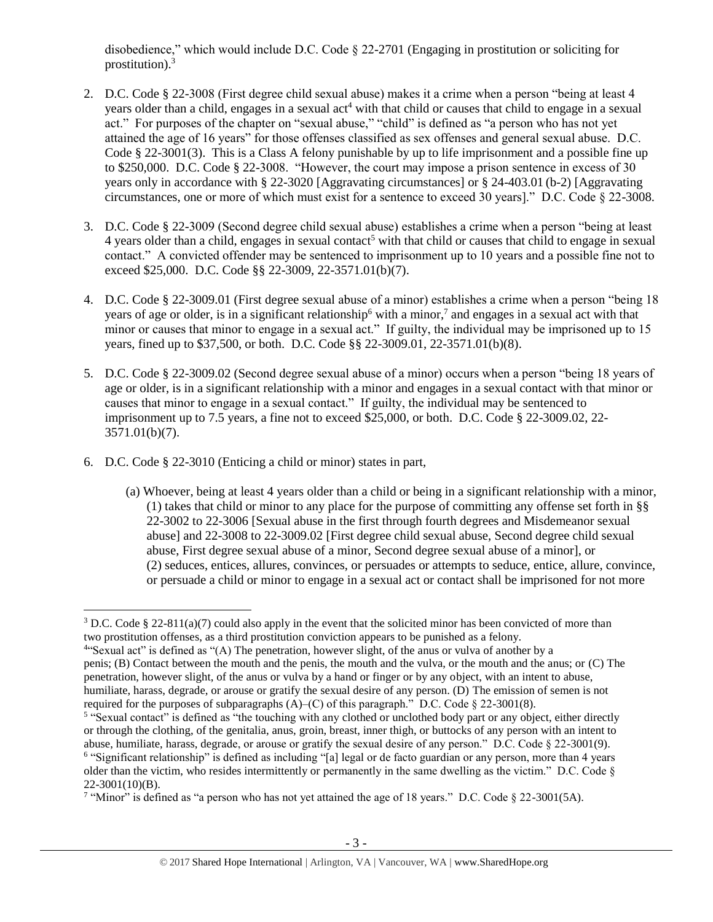disobedience," which would include D.C. Code § 22-2701 (Engaging in prostitution or soliciting for prostitution).<sup>3</sup>

- 2. D.C. Code § 22-3008 (First degree child sexual abuse) makes it a crime when a person "being at least 4 years older than a child, engages in a sexual  $act<sup>4</sup>$  with that child or causes that child to engage in a sexual act." For purposes of the chapter on "sexual abuse," "child" is defined as "a person who has not yet attained the age of 16 years" for those offenses classified as sex offenses and general sexual abuse. D.C. Code § 22-3001(3). This is a Class A felony punishable by up to life imprisonment and a possible fine up to \$250,000. D.C. Code § 22-3008. "However, the court may impose a prison sentence in excess of 30 years only in accordance with § 22-3020 [Aggravating circumstances] or § 24-403.01 (b-2) [Aggravating circumstances, one or more of which must exist for a sentence to exceed 30 years]." D.C. Code § 22-3008.
- 3. D.C. Code § 22-3009 (Second degree child sexual abuse) establishes a crime when a person "being at least 4 years older than a child, engages in sexual contact<sup>5</sup> with that child or causes that child to engage in sexual contact." A convicted offender may be sentenced to imprisonment up to 10 years and a possible fine not to exceed \$25,000. D.C. Code §§ 22-3009, 22-3571.01(b)(7).
- 4. D.C. Code § 22-3009.01 (First degree sexual abuse of a minor) establishes a crime when a person "being 18 years of age or older, is in a significant relationship<sup>6</sup> with a minor,<sup>7</sup> and engages in a sexual act with that minor or causes that minor to engage in a sexual act." If guilty, the individual may be imprisoned up to 15 years, fined up to \$37,500, or both. D.C. Code §§ 22-3009.01, 22-3571.01(b)(8).
- 5. D.C. Code § 22-3009.02 (Second degree sexual abuse of a minor) occurs when a person "being 18 years of age or older, is in a significant relationship with a minor and engages in a sexual contact with that minor or causes that minor to engage in a sexual contact." If guilty, the individual may be sentenced to imprisonment up to 7.5 years, a fine not to exceed \$25,000, or both. D.C. Code § 22-3009.02, 22- 3571.01(b)(7).
- 6. D.C. Code § 22-3010 (Enticing a child or minor) states in part,
	- (a) Whoever, being at least 4 years older than a child or being in a significant relationship with a minor, (1) takes that child or minor to any place for the purpose of committing any offense set forth in §§ 22-3002 to 22-3006 [Sexual abuse in the first through fourth degrees and Misdemeanor sexual abuse] and 22-3008 to 22-3009.02 [First degree child sexual abuse, Second degree child sexual abuse, First degree sexual abuse of a minor, Second degree sexual abuse of a minor], or (2) seduces, entices, allures, convinces, or persuades or attempts to seduce, entice, allure, convince, or persuade a child or minor to engage in a sexual act or contact shall be imprisoned for not more

l <sup>3</sup> D.C. Code § 22-811(a)(7) could also apply in the event that the solicited minor has been convicted of more than two prostitution offenses, as a third prostitution conviction appears to be punished as a felony.

<sup>4</sup> "Sexual act" is defined as "(A) The penetration, however slight, of the anus or vulva of another by a penis; (B) Contact between the mouth and the penis, the mouth and the vulva, or the mouth and the anus; or (C) The penetration, however slight, of the anus or vulva by a hand or finger or by any object, with an intent to abuse, humiliate, harass, degrade, or arouse or gratify the sexual desire of any person. (D) The emission of semen is not required for the purposes of subparagraphs (A)–(C) of this paragraph." D.C. Code  $\S$  22-3001(8).

<sup>&</sup>lt;sup>5</sup> "Sexual contact" is defined as "the touching with any clothed or unclothed body part or any object, either directly or through the clothing, of the genitalia, anus, groin, breast, inner thigh, or buttocks of any person with an intent to abuse, humiliate, harass, degrade, or arouse or gratify the sexual desire of any person." D.C. Code § 22-3001(9).

<sup>&</sup>lt;sup>6</sup> "Significant relationship" is defined as including "[a] legal or de facto guardian or any person, more than 4 years older than the victim, who resides intermittently or permanently in the same dwelling as the victim." D.C. Code  $\S$ 22-3001(10)(B).

<sup>&</sup>lt;sup>7</sup> "Minor" is defined as "a person who has not yet attained the age of 18 years." D.C. Code § 22-3001(5A).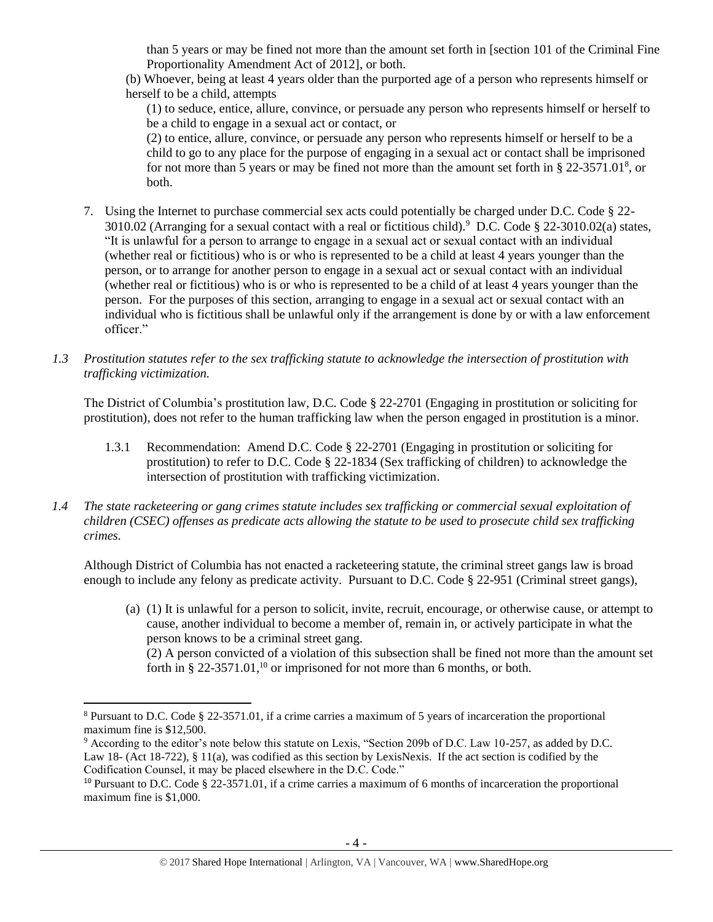than 5 years or may be fined not more than the amount set forth in [section 101 of the Criminal Fine Proportionality Amendment Act of 2012], or both.

(b) Whoever, being at least 4 years older than the purported age of a person who represents himself or herself to be a child, attempts

(1) to seduce, entice, allure, convince, or persuade any person who represents himself or herself to be a child to engage in a sexual act or contact, or

(2) to entice, allure, convince, or persuade any person who represents himself or herself to be a child to go to any place for the purpose of engaging in a sexual act or contact shall be imprisoned for not more than 5 years or may be fined not more than the amount set forth in  $\S 22-3571.01^8$ , or both.

- 7. Using the Internet to purchase commercial sex acts could potentially be charged under D.C. Code § 22- 3010.02 (Arranging for a sexual contact with a real or fictitious child).  $^9$  D.C. Code § 22-3010.02(a) states, "It is unlawful for a person to arrange to engage in a sexual act or sexual contact with an individual (whether real or fictitious) who is or who is represented to be a child at least 4 years younger than the person, or to arrange for another person to engage in a sexual act or sexual contact with an individual (whether real or fictitious) who is or who is represented to be a child of at least 4 years younger than the person. For the purposes of this section, arranging to engage in a sexual act or sexual contact with an individual who is fictitious shall be unlawful only if the arrangement is done by or with a law enforcement officer."
- *1.3 Prostitution statutes refer to the sex trafficking statute to acknowledge the intersection of prostitution with trafficking victimization.*

The District of Columbia's prostitution law, D.C. Code § 22-2701 (Engaging in prostitution or soliciting for prostitution), does not refer to the human trafficking law when the person engaged in prostitution is a minor.

- 1.3.1 Recommendation: Amend D.C. Code § 22-2701 (Engaging in prostitution or soliciting for prostitution) to refer to D.C. Code § 22-1834 (Sex trafficking of children) to acknowledge the intersection of prostitution with trafficking victimization.
- *1.4 The state racketeering or gang crimes statute includes sex trafficking or commercial sexual exploitation of children (CSEC) offenses as predicate acts allowing the statute to be used to prosecute child sex trafficking crimes.*

Although District of Columbia has not enacted a racketeering statute, the criminal street gangs law is broad enough to include any felony as predicate activity. Pursuant to D.C. Code § 22-951 (Criminal street gangs),

(a) (1) It is unlawful for a person to solicit, invite, recruit, encourage, or otherwise cause, or attempt to cause, another individual to become a member of, remain in, or actively participate in what the person knows to be a criminal street gang.

<span id="page-3-0"></span>(2) A person convicted of a violation of this subsection shall be fined not more than the amount set forth in § 22-3571.01,<sup>10</sup> or imprisoned for not more than 6 months, or both.

l

<sup>8</sup> Pursuant to D.C. Code § 22-3571.01, if a crime carries a maximum of 5 years of incarceration the proportional maximum fine is \$12,500.

<sup>&</sup>lt;sup>9</sup> According to the editor's note below this statute on Lexis, "Section 209b of D.C. Law 10-257, as added by D.C. Law 18- (Act 18-722), § 11(a), was codified as this section by LexisNexis. If the act section is codified by the Codification Counsel, it may be placed elsewhere in the D.C. Code."

<sup>10</sup> Pursuant to D.C. Code § 22-3571.01, if a crime carries a maximum of 6 months of incarceration the proportional maximum fine is \$1,000.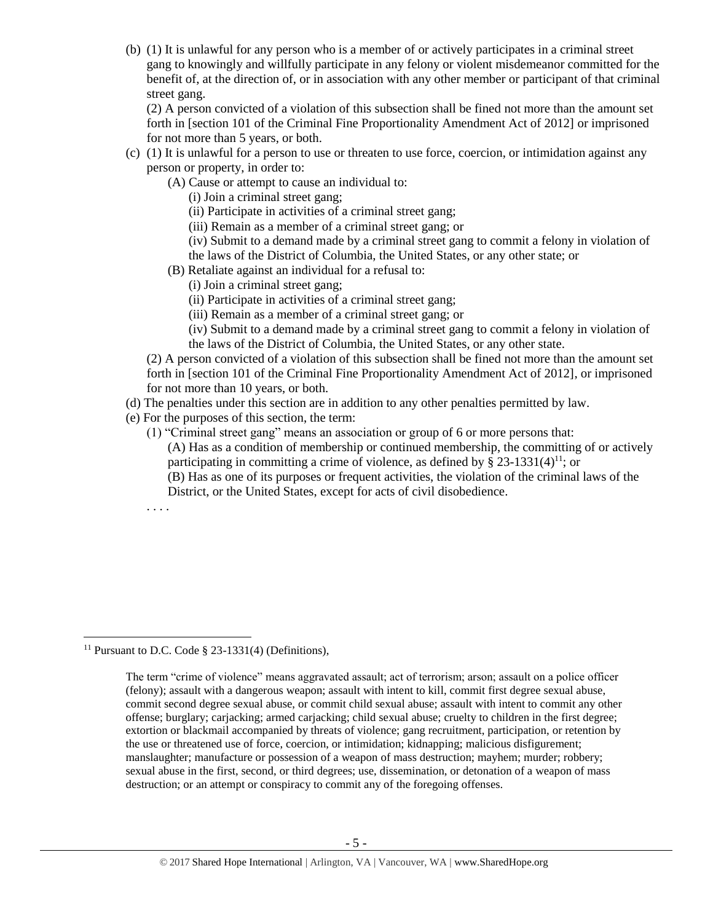(b) (1) It is unlawful for any person who is a member of or actively participates in a criminal street gang to knowingly and willfully participate in any felony or violent misdemeanor committed for the benefit of, at the direction of, or in association with any other member or participant of that criminal street gang.

(2) A person convicted of a violation of this subsection shall be fined not more than the amount set forth in [section 101 of the Criminal Fine Proportionality Amendment Act of 2012] or imprisoned for not more than 5 years, or both.

- (c) (1) It is unlawful for a person to use or threaten to use force, coercion, or intimidation against any person or property, in order to:
	- (A) Cause or attempt to cause an individual to:
		- (i) Join a criminal street gang;
		- (ii) Participate in activities of a criminal street gang;
		- (iii) Remain as a member of a criminal street gang; or
		- (iv) Submit to a demand made by a criminal street gang to commit a felony in violation of the laws of the District of Columbia, the United States, or any other state; or
	- (B) Retaliate against an individual for a refusal to:
		- (i) Join a criminal street gang;
		- (ii) Participate in activities of a criminal street gang;
		- (iii) Remain as a member of a criminal street gang; or
		- (iv) Submit to a demand made by a criminal street gang to commit a felony in violation of the laws of the District of Columbia, the United States, or any other state.

(2) A person convicted of a violation of this subsection shall be fined not more than the amount set forth in [section 101 of the Criminal Fine Proportionality Amendment Act of 2012], or imprisoned for not more than 10 years, or both.

- (d) The penalties under this section are in addition to any other penalties permitted by law.
- (e) For the purposes of this section, the term:
	- (1) "Criminal street gang" means an association or group of 6 or more persons that: (A) Has as a condition of membership or continued membership, the committing of or actively participating in committing a crime of violence, as defined by  $\S$  23-1331(4)<sup>11</sup>; or (B) Has as one of its purposes or frequent activities, the violation of the criminal laws of the District, or the United States, except for acts of civil disobedience.

 $\overline{\phantom{a}}$ 

<sup>. . . .</sup> 

<sup>&</sup>lt;sup>11</sup> Pursuant to D.C. Code  $\S$  23-1331(4) (Definitions),

The term "crime of violence" means aggravated assault; act of terrorism; arson; assault on a police officer (felony); assault with a dangerous weapon; assault with intent to kill, commit first degree sexual abuse, commit second degree sexual abuse, or commit child sexual abuse; assault with intent to commit any other offense; burglary; carjacking; armed carjacking; child sexual abuse; cruelty to children in the first degree; extortion or blackmail accompanied by threats of violence; gang recruitment, participation, or retention by the use or threatened use of force, coercion, or intimidation; kidnapping; malicious disfigurement; manslaughter; manufacture or possession of a weapon of mass destruction; mayhem; murder; robbery; sexual abuse in the first, second, or third degrees; use, dissemination, or detonation of a weapon of mass destruction; or an attempt or conspiracy to commit any of the foregoing offenses.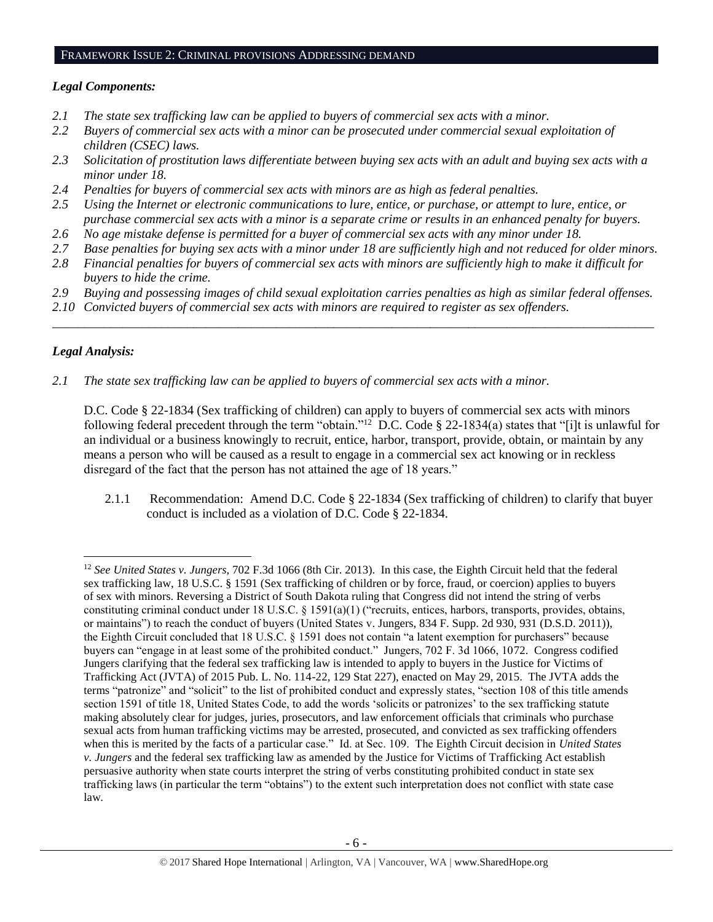#### FRAMEWORK ISSUE 2: CRIMINAL PROVISIONS ADDRESSING DEMAND

## *Legal Components:*

- *2.1 The state sex trafficking law can be applied to buyers of commercial sex acts with a minor.*
- *2.2 Buyers of commercial sex acts with a minor can be prosecuted under commercial sexual exploitation of children (CSEC) laws.*
- *2.3 Solicitation of prostitution laws differentiate between buying sex acts with an adult and buying sex acts with a minor under 18.*
- *2.4 Penalties for buyers of commercial sex acts with minors are as high as federal penalties.*
- *2.5 Using the Internet or electronic communications to lure, entice, or purchase, or attempt to lure, entice, or purchase commercial sex acts with a minor is a separate crime or results in an enhanced penalty for buyers.*
- *2.6 No age mistake defense is permitted for a buyer of commercial sex acts with any minor under 18.*
- *2.7 Base penalties for buying sex acts with a minor under 18 are sufficiently high and not reduced for older minors.*
- *2.8 Financial penalties for buyers of commercial sex acts with minors are sufficiently high to make it difficult for buyers to hide the crime.*
- *2.9 Buying and possessing images of child sexual exploitation carries penalties as high as similar federal offenses.*

\_\_\_\_\_\_\_\_\_\_\_\_\_\_\_\_\_\_\_\_\_\_\_\_\_\_\_\_\_\_\_\_\_\_\_\_\_\_\_\_\_\_\_\_\_\_\_\_\_\_\_\_\_\_\_\_\_\_\_\_\_\_\_\_\_\_\_\_\_\_\_\_\_\_\_\_\_\_\_\_\_\_\_\_\_\_\_\_\_\_\_\_\_\_

*2.10 Convicted buyers of commercial sex acts with minors are required to register as sex offenders.*

## *Legal Analysis:*

 $\overline{\phantom{a}}$ 

*2.1 The state sex trafficking law can be applied to buyers of commercial sex acts with a minor.* 

D.C. Code § 22-1834 (Sex trafficking of children) can apply to buyers of commercial sex acts with minors following federal precedent through the term "obtain."<sup>12</sup> D.C. Code § 22-1834(a) states that "[i]t is unlawful for an individual or a business knowingly to recruit, entice, harbor, transport, provide, obtain, or maintain by any means a person who will be caused as a result to engage in a commercial sex act knowing or in reckless disregard of the fact that the person has not attained the age of 18 years."

2.1.1 Recommendation: Amend D.C. Code § 22-1834 (Sex trafficking of children) to clarify that buyer conduct is included as a violation of D.C. Code § 22-1834.

<sup>12</sup> *See United States v. Jungers*, 702 F.3d 1066 (8th Cir. 2013). In this case, the Eighth Circuit held that the federal sex trafficking law, 18 U.S.C. § 1591 (Sex trafficking of children or by force, fraud, or coercion) applies to buyers of sex with minors. Reversing a District of South Dakota ruling that Congress did not intend the string of verbs constituting criminal conduct under 18 U.S.C. § 1591(a)(1) ("recruits, entices, harbors, transports, provides, obtains, or maintains") to reach the conduct of buyers (United States v. Jungers, 834 F. Supp. 2d 930, 931 (D.S.D. 2011)), the Eighth Circuit concluded that 18 U.S.C. § 1591 does not contain "a latent exemption for purchasers" because buyers can "engage in at least some of the prohibited conduct." Jungers, 702 F. 3d 1066, 1072. Congress codified Jungers clarifying that the federal sex trafficking law is intended to apply to buyers in the Justice for Victims of Trafficking Act (JVTA) of 2015 Pub. L. No. 114-22, 129 Stat 227), enacted on May 29, 2015. The JVTA adds the terms "patronize" and "solicit" to the list of prohibited conduct and expressly states, "section 108 of this title amends section 1591 of title 18, United States Code, to add the words 'solicits or patronizes' to the sex trafficking statute making absolutely clear for judges, juries, prosecutors, and law enforcement officials that criminals who purchase sexual acts from human trafficking victims may be arrested, prosecuted, and convicted as sex trafficking offenders when this is merited by the facts of a particular case." Id. at Sec. 109. The Eighth Circuit decision in *United States v. Jungers* and the federal sex trafficking law as amended by the Justice for Victims of Trafficking Act establish persuasive authority when state courts interpret the string of verbs constituting prohibited conduct in state sex trafficking laws (in particular the term "obtains") to the extent such interpretation does not conflict with state case law.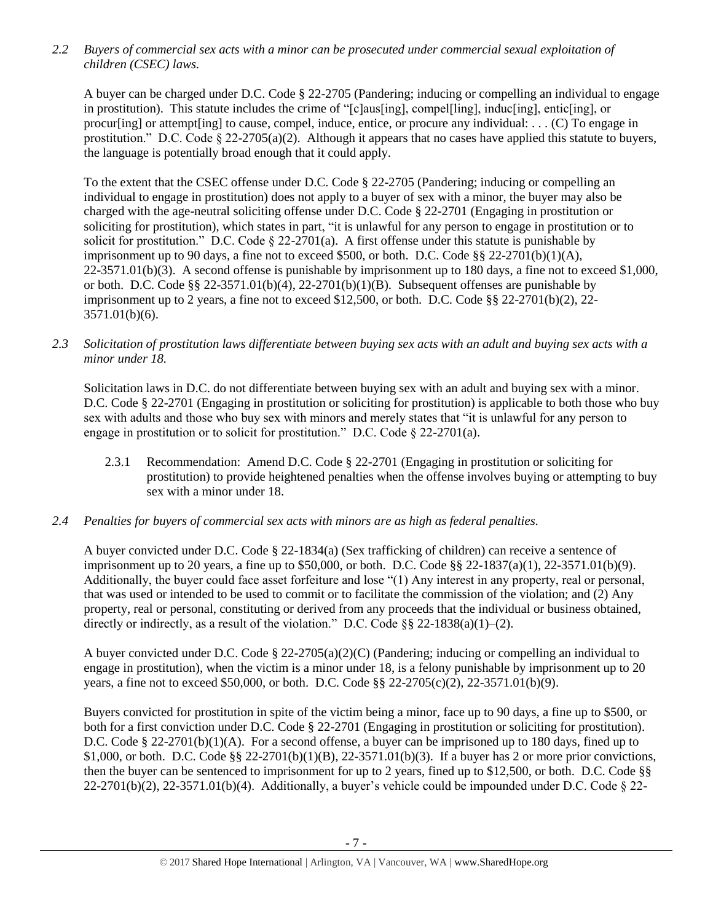*2.2 Buyers of commercial sex acts with a minor can be prosecuted under commercial sexual exploitation of children (CSEC) laws.*

A buyer can be charged under D.C. Code § 22-2705 (Pandering; inducing or compelling an individual to engage in prostitution). This statute includes the crime of "[c]aus[ing], compel[ling], induc[ing], entic[ing], or procurling] or attempt [ing] to cause, compel, induce, entice, or procure any individual: . . . (C) To engage in prostitution." D.C. Code  $\S 22-2705(a)(2)$ . Although it appears that no cases have applied this statute to buyers, the language is potentially broad enough that it could apply.

To the extent that the CSEC offense under D.C. Code § 22-2705 (Pandering; inducing or compelling an individual to engage in prostitution) does not apply to a buyer of sex with a minor, the buyer may also be charged with the age-neutral soliciting offense under D.C. Code § 22-2701 (Engaging in prostitution or soliciting for prostitution), which states in part, "it is unlawful for any person to engage in prostitution or to solicit for prostitution." D.C. Code  $\S 22-2701(a)$ . A first offense under this statute is punishable by imprisonment up to 90 days, a fine not to exceed \$500, or both. D.C. Code  $\S$ § 22-2701(b)(1)(A),  $22-3571.01(b)(3)$ . A second offense is punishable by imprisonment up to 180 days, a fine not to exceed \$1,000, or both. D.C. Code §§ 22-3571.01(b)(4), 22-2701(b)(1)(B). Subsequent offenses are punishable by imprisonment up to 2 years, a fine not to exceed \$12,500, or both. D.C. Code  $\S$ § 22-2701(b)(2), 22-3571.01(b)(6).

*2.3 Solicitation of prostitution laws differentiate between buying sex acts with an adult and buying sex acts with a minor under 18.*

Solicitation laws in D.C. do not differentiate between buying sex with an adult and buying sex with a minor. D.C. Code § 22-2701 (Engaging in prostitution or soliciting for prostitution) is applicable to both those who buy sex with adults and those who buy sex with minors and merely states that "it is unlawful for any person to engage in prostitution or to solicit for prostitution." D.C. Code § 22-2701(a).

- 2.3.1 Recommendation: Amend D.C. Code § 22-2701 (Engaging in prostitution or soliciting for prostitution) to provide heightened penalties when the offense involves buying or attempting to buy sex with a minor under 18.
- *2.4 Penalties for buyers of commercial sex acts with minors are as high as federal penalties.*

A buyer convicted under D.C. Code § 22-1834(a) (Sex trafficking of children) can receive a sentence of imprisonment up to 20 years, a fine up to \$50,000, or both. D.C. Code §§ 22-1837(a)(1), 22-3571.01(b)(9). Additionally, the buyer could face asset forfeiture and lose "(1) Any interest in any property, real or personal, that was used or intended to be used to commit or to facilitate the commission of the violation; and (2) Any property, real or personal, constituting or derived from any proceeds that the individual or business obtained, directly or indirectly, as a result of the violation." D.C. Code  $\S$ § 22-1838(a)(1)–(2).

A buyer convicted under D.C. Code § 22-2705(a)(2)(C) (Pandering; inducing or compelling an individual to engage in prostitution), when the victim is a minor under 18, is a felony punishable by imprisonment up to 20 years, a fine not to exceed \$50,000, or both. D.C. Code §§ 22-2705(c)(2), 22-3571.01(b)(9).

Buyers convicted for prostitution in spite of the victim being a minor, face up to 90 days, a fine up to \$500, or both for a first conviction under D.C. Code § 22-2701 (Engaging in prostitution or soliciting for prostitution). D.C. Code § 22-2701(b)(1)(A). For a second offense, a buyer can be imprisoned up to 180 days, fined up to \$1,000, or both. D.C. Code §§ 22-2701(b)(1)(B), 22-3571.01(b)(3). If a buyer has 2 or more prior convictions, then the buyer can be sentenced to imprisonment for up to 2 years, fined up to \$12,500, or both. D.C. Code §§  $22-2701(b)(2)$ ,  $22-3571.01(b)(4)$ . Additionally, a buyer's vehicle could be impounded under D.C. Code § 22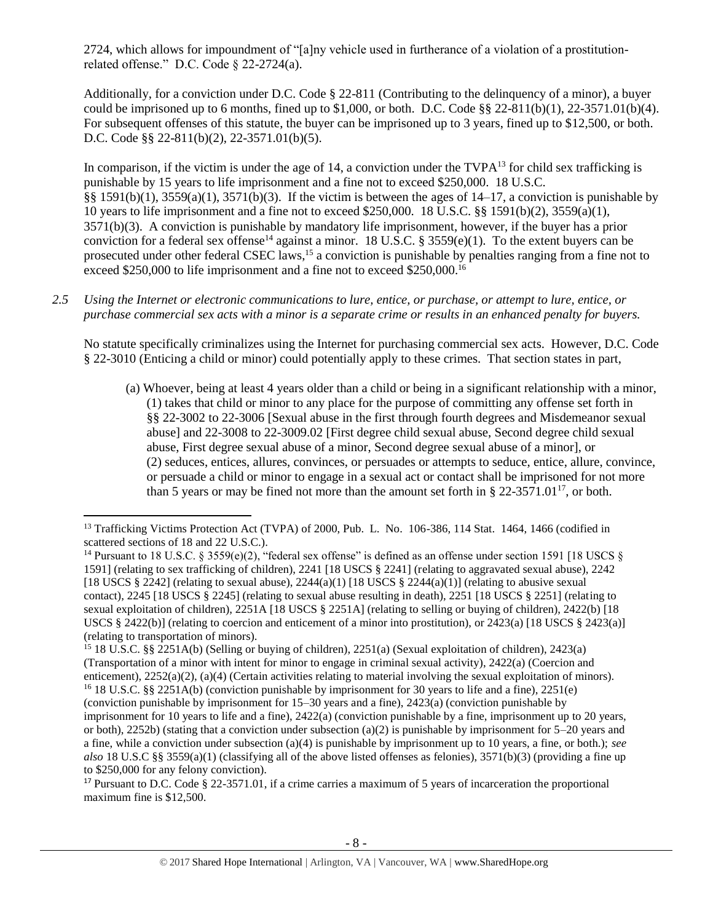2724, which allows for impoundment of "[a]ny vehicle used in furtherance of a violation of a prostitutionrelated offense." D.C. Code § 22-2724(a).

Additionally, for a conviction under D.C. Code § 22-811 (Contributing to the delinquency of a minor), a buyer could be imprisoned up to 6 months, fined up to \$1,000, or both. D.C. Code  $\S$ § 22-811(b)(1), 22-3571.01(b)(4). For subsequent offenses of this statute, the buyer can be imprisoned up to 3 years, fined up to \$12,500, or both. D.C. Code §§ 22-811(b)(2), 22-3571.01(b)(5).

<span id="page-7-1"></span><span id="page-7-0"></span>In comparison, if the victim is under the age of 14, a conviction under the  $TVPA^{13}$  for child sex trafficking is punishable by 15 years to life imprisonment and a fine not to exceed \$250,000. 18 U.S.C. §§ 1591(b)(1),  $3559(a)(1)$ ,  $3571(b)(3)$ . If the victim is between the ages of 14–17, a conviction is punishable by 10 years to life imprisonment and a fine not to exceed \$250,000. 18 U.S.C. §§ 1591(b)(2), 3559(a)(1), 3571(b)(3). A conviction is punishable by mandatory life imprisonment, however, if the buyer has a prior conviction for a federal sex offense<sup>14</sup> against a minor. 18 U.S.C. § 3559(e)(1). To the extent buyers can be prosecuted under other federal CSEC laws,<sup>15</sup> a conviction is punishable by penalties ranging from a fine not to exceed \$250,000 to life imprisonment and a fine not to exceed \$250,000.<sup>16</sup>

*2.5 Using the Internet or electronic communications to lure, entice, or purchase, or attempt to lure, entice, or purchase commercial sex acts with a minor is a separate crime or results in an enhanced penalty for buyers.*

No statute specifically criminalizes using the Internet for purchasing commercial sex acts. However, D.C. Code § 22-3010 (Enticing a child or minor) could potentially apply to these crimes. That section states in part,

(a) Whoever, being at least 4 years older than a child or being in a significant relationship with a minor, (1) takes that child or minor to any place for the purpose of committing any offense set forth in §§ 22-3002 to 22-3006 [Sexual abuse in the first through fourth degrees and Misdemeanor sexual abuse] and 22-3008 to 22-3009.02 [First degree child sexual abuse, Second degree child sexual abuse, First degree sexual abuse of a minor, Second degree sexual abuse of a minor], or (2) seduces, entices, allures, convinces, or persuades or attempts to seduce, entice, allure, convince, or persuade a child or minor to engage in a sexual act or contact shall be imprisoned for not more than 5 years or may be fined not more than the amount set forth in  $\S 22-3571.01^{17}$ , or both.

<sup>15</sup> 18 U.S.C. §§ 2251A(b) (Selling or buying of children), 2251(a) (Sexual exploitation of children), 2423(a) (Transportation of a minor with intent for minor to engage in criminal sexual activity), 2422(a) (Coercion and enticement), 2252(a)(2), (a)(4) (Certain activities relating to material involving the sexual exploitation of minors).

<sup>17</sup> Pursuant to D.C. Code § 22-3571.01, if a crime carries a maximum of 5 years of incarceration the proportional maximum fine is \$12,500.

 $\overline{a}$ <sup>13</sup> Trafficking Victims Protection Act (TVPA) of 2000, Pub. L. No. 106-386, 114 Stat. 1464, 1466 (codified in scattered sections of 18 and 22 U.S.C.).

<sup>&</sup>lt;sup>14</sup> Pursuant to 18 U.S.C. § 3559(e)(2), "federal sex offense" is defined as an offense under section 1591 [18 USCS § 1591] (relating to sex trafficking of children), 2241 [18 USCS § 2241] (relating to aggravated sexual abuse), 2242 [18 USCS § 2242] (relating to sexual abuse),  $2244(a)(1)$  [18 USCS § 2244(a)(1)] (relating to abusive sexual contact), 2245 [18 USCS § 2245] (relating to sexual abuse resulting in death), 2251 [18 USCS § 2251] (relating to sexual exploitation of children), 2251A [18 USCS § 2251A] (relating to selling or buying of children), 2422(b) [18 USCS § 2422(b)] (relating to coercion and enticement of a minor into prostitution), or 2423(a) [18 USCS § 2423(a)] (relating to transportation of minors).

<sup>&</sup>lt;sup>16</sup> 18 U.S.C. §§ 2251A(b) (conviction punishable by imprisonment for 30 years to life and a fine), 2251(e) (conviction punishable by imprisonment for 15–30 years and a fine), 2423(a) (conviction punishable by imprisonment for 10 years to life and a fine), 2422(a) (conviction punishable by a fine, imprisonment up to 20 years, or both),  $2252b$ ) (stating that a conviction under subsection (a)(2) is punishable by imprisonment for  $5-20$  years and a fine, while a conviction under subsection (a)(4) is punishable by imprisonment up to 10 years, a fine, or both.); *see also* 18 U.S.C §§ 3559(a)(1) (classifying all of the above listed offenses as felonies), 3571(b)(3) (providing a fine up to \$250,000 for any felony conviction).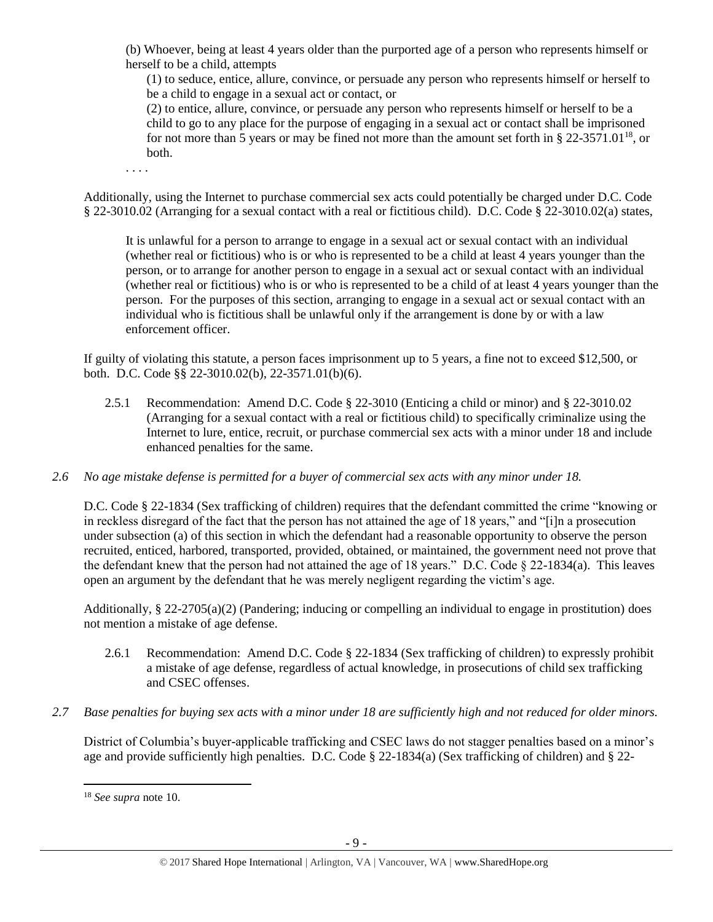(b) Whoever, being at least 4 years older than the purported age of a person who represents himself or herself to be a child, attempts

(1) to seduce, entice, allure, convince, or persuade any person who represents himself or herself to be a child to engage in a sexual act or contact, or

(2) to entice, allure, convince, or persuade any person who represents himself or herself to be a child to go to any place for the purpose of engaging in a sexual act or contact shall be imprisoned for not more than 5 years or may be fined not more than the amount set forth in § 22-3571.01<sup>18</sup>, or both.

. . . .

Additionally, using the Internet to purchase commercial sex acts could potentially be charged under D.C. Code § 22-3010.02 (Arranging for a sexual contact with a real or fictitious child). D.C. Code § 22-3010.02(a) states,

It is unlawful for a person to arrange to engage in a sexual act or sexual contact with an individual (whether real or fictitious) who is or who is represented to be a child at least 4 years younger than the person, or to arrange for another person to engage in a sexual act or sexual contact with an individual (whether real or fictitious) who is or who is represented to be a child of at least 4 years younger than the person. For the purposes of this section, arranging to engage in a sexual act or sexual contact with an individual who is fictitious shall be unlawful only if the arrangement is done by or with a law enforcement officer.

If guilty of violating this statute, a person faces imprisonment up to 5 years, a fine not to exceed \$12,500, or both. D.C. Code §§ 22-3010.02(b), 22-3571.01(b)(6).

2.5.1 Recommendation: Amend D.C. Code § 22-3010 (Enticing a child or minor) and § 22-3010.02 (Arranging for a sexual contact with a real or fictitious child) to specifically criminalize using the Internet to lure, entice, recruit, or purchase commercial sex acts with a minor under 18 and include enhanced penalties for the same.

# *2.6 No age mistake defense is permitted for a buyer of commercial sex acts with any minor under 18.*

D.C. Code § 22-1834 (Sex trafficking of children) requires that the defendant committed the crime "knowing or in reckless disregard of the fact that the person has not attained the age of 18 years," and "[i]n a prosecution under subsection (a) of this section in which the defendant had a reasonable opportunity to observe the person recruited, enticed, harbored, transported, provided, obtained, or maintained, the government need not prove that the defendant knew that the person had not attained the age of 18 years." D.C. Code  $\S$  22-1834(a). This leaves open an argument by the defendant that he was merely negligent regarding the victim's age.

Additionally, § 22-2705(a)(2) (Pandering; inducing or compelling an individual to engage in prostitution) does not mention a mistake of age defense.

- 2.6.1 Recommendation: Amend D.C. Code § 22-1834 (Sex trafficking of children) to expressly prohibit a mistake of age defense, regardless of actual knowledge, in prosecutions of child sex trafficking and CSEC offenses.
- *2.7 Base penalties for buying sex acts with a minor under 18 are sufficiently high and not reduced for older minors.*

District of Columbia's buyer-applicable trafficking and CSEC laws do not stagger penalties based on a minor's age and provide sufficiently high penalties. D.C. Code § 22-1834(a) (Sex trafficking of children) and § 22-

 $\overline{a}$ 

<sup>18</sup> *See supra* note [10.](#page-3-0)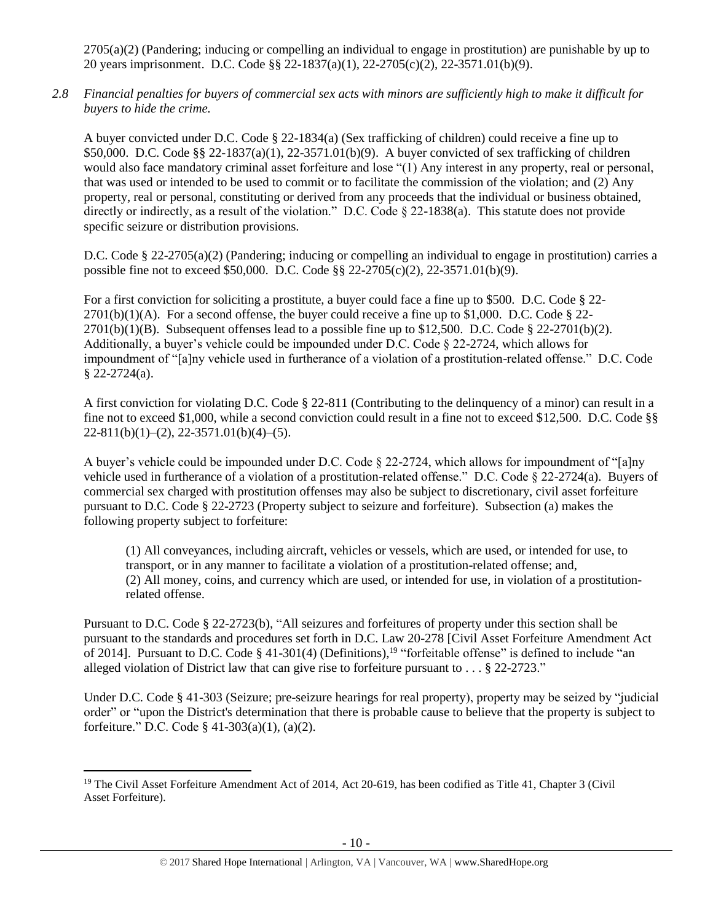$2705(a)(2)$  (Pandering; inducing or compelling an individual to engage in prostitution) are punishable by up to 20 years imprisonment. D.C. Code §§ 22-1837(a)(1), 22-2705(c)(2), 22-3571.01(b)(9).

*2.8 Financial penalties for buyers of commercial sex acts with minors are sufficiently high to make it difficult for buyers to hide the crime.*

A buyer convicted under D.C. Code § 22-1834(a) (Sex trafficking of children) could receive a fine up to \$50,000. D.C. Code §§ 22-1837(a)(1), 22-3571.01(b)(9). A buyer convicted of sex trafficking of children would also face mandatory criminal asset forfeiture and lose "(1) Any interest in any property, real or personal, that was used or intended to be used to commit or to facilitate the commission of the violation; and (2) Any property, real or personal, constituting or derived from any proceeds that the individual or business obtained, directly or indirectly, as a result of the violation." D.C. Code § 22-1838(a). This statute does not provide specific seizure or distribution provisions.

D.C. Code § 22-2705(a)(2) (Pandering; inducing or compelling an individual to engage in prostitution) carries a possible fine not to exceed \$50,000. D.C. Code §§ 22-2705(c)(2), 22-3571.01(b)(9).

For a first conviction for soliciting a prostitute, a buyer could face a fine up to \$500. D.C. Code § 22-  $2701(b)(1)(A)$ . For a second offense, the buyer could receive a fine up to \$1,000. D.C. Code § 22- $2701(b)(1)(B)$ . Subsequent offenses lead to a possible fine up to \$12,500. D.C. Code § 22-2701(b)(2). Additionally, a buyer's vehicle could be impounded under D.C. Code § 22-2724, which allows for impoundment of "[a]ny vehicle used in furtherance of a violation of a prostitution-related offense." D.C. Code  $§$  22-2724(a).

A first conviction for violating D.C. Code § 22-811 (Contributing to the delinquency of a minor) can result in a fine not to exceed \$1,000, while a second conviction could result in a fine not to exceed \$12,500. D.C. Code §§  $22-811(b)(1)-(2), 22-3571.01(b)(4)-(5).$ 

A buyer's vehicle could be impounded under D.C. Code § 22-2724, which allows for impoundment of "[a]ny vehicle used in furtherance of a violation of a prostitution-related offense." D.C. Code § 22-2724(a). Buyers of commercial sex charged with prostitution offenses may also be subject to discretionary, civil asset forfeiture pursuant to D.C. Code § 22-2723 (Property subject to seizure and forfeiture). Subsection (a) makes the following property subject to forfeiture:

(1) All conveyances, including aircraft, vehicles or vessels, which are used, or intended for use, to transport, or in any manner to facilitate a violation of a prostitution-related offense; and, (2) All money, coins, and currency which are used, or intended for use, in violation of a prostitutionrelated offense.

Pursuant to D.C. Code § 22-2723(b), "All seizures and forfeitures of property under this section shall be pursuant to the standards and procedures set forth in D.C. Law 20-278 [Civil Asset Forfeiture Amendment Act of 2014]. Pursuant to D.C. Code  $\S$  41-301(4) (Definitions),<sup>19</sup> "forfeitable offense" is defined to include "an alleged violation of District law that can give rise to forfeiture pursuant to . . . § 22-2723."

Under D.C. Code § 41-303 (Seizure; pre-seizure hearings for real property), property may be seized by "judicial order" or "upon the District's determination that there is probable cause to believe that the property is subject to forfeiture." D.C. Code § 41-303(a)(1), (a)(2).

 $\overline{\phantom{a}}$ 

<sup>&</sup>lt;sup>19</sup> The Civil Asset Forfeiture Amendment Act of 2014, Act 20-619, has been codified as Title 41, Chapter 3 (Civil Asset Forfeiture).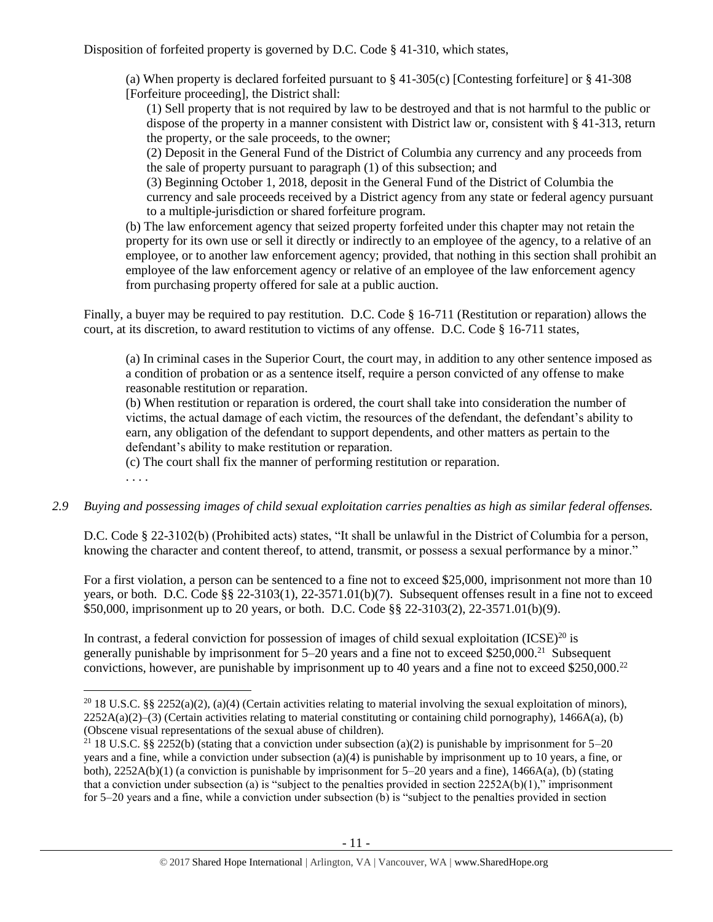Disposition of forfeited property is governed by D.C. Code § 41-310, which states,

(a) When property is declared forfeited pursuant to § 41-305(c) [Contesting forfeiture] or § 41-308 [Forfeiture proceeding], the District shall:

(1) Sell property that is not required by law to be destroyed and that is not harmful to the public or dispose of the property in a manner consistent with District law or, consistent with § 41-313, return the property, or the sale proceeds, to the owner;

(2) Deposit in the General Fund of the District of Columbia any currency and any proceeds from the sale of property pursuant to paragraph (1) of this subsection; and

(3) Beginning October 1, 2018, deposit in the General Fund of the District of Columbia the currency and sale proceeds received by a District agency from any state or federal agency pursuant to a multiple-jurisdiction or shared forfeiture program.

(b) The law enforcement agency that seized property forfeited under this chapter may not retain the property for its own use or sell it directly or indirectly to an employee of the agency, to a relative of an employee, or to another law enforcement agency; provided, that nothing in this section shall prohibit an employee of the law enforcement agency or relative of an employee of the law enforcement agency from purchasing property offered for sale at a public auction.

Finally, a buyer may be required to pay restitution. D.C. Code § 16-711 (Restitution or reparation) allows the court, at its discretion, to award restitution to victims of any offense. D.C. Code § 16-711 states,

(a) In criminal cases in the Superior Court, the court may, in addition to any other sentence imposed as a condition of probation or as a sentence itself, require a person convicted of any offense to make reasonable restitution or reparation.

(b) When restitution or reparation is ordered, the court shall take into consideration the number of victims, the actual damage of each victim, the resources of the defendant, the defendant's ability to earn, any obligation of the defendant to support dependents, and other matters as pertain to the defendant's ability to make restitution or reparation.

(c) The court shall fix the manner of performing restitution or reparation.

. . . .

 $\overline{\phantom{a}}$ 

# *2.9 Buying and possessing images of child sexual exploitation carries penalties as high as similar federal offenses.*

D.C. Code § 22-3102(b) (Prohibited acts) states, "It shall be unlawful in the District of Columbia for a person, knowing the character and content thereof, to attend, transmit, or possess a sexual performance by a minor."

For a first violation, a person can be sentenced to a fine not to exceed \$25,000, imprisonment not more than 10 years, or both. D.C. Code §§ 22-3103(1), 22-3571.01(b)(7). Subsequent offenses result in a fine not to exceed \$50,000, imprisonment up to 20 years, or both. D.C. Code §§ 22-3103(2), 22-3571.01(b)(9).

In contrast, a federal conviction for possession of images of child sexual exploitation  $(ICSE)^{20}$  is generally punishable by imprisonment for 5–20 years and a fine not to exceed \$250,000.<sup>21</sup> Subsequent convictions, however, are punishable by imprisonment up to 40 years and a fine not to exceed \$250,000.<sup>22</sup>

<sup>&</sup>lt;sup>20</sup> 18 U.S.C. §§ 2252(a)(2), (a)(4) (Certain activities relating to material involving the sexual exploitation of minors),  $2252A(a)(2)$ –(3) (Certain activities relating to material constituting or containing child pornography), 1466A(a), (b) (Obscene visual representations of the sexual abuse of children).

<sup>&</sup>lt;sup>21</sup> 18 U.S.C. §§ 2252(b) (stating that a conviction under subsection (a)(2) is punishable by imprisonment for 5–20 years and a fine, while a conviction under subsection (a)(4) is punishable by imprisonment up to 10 years, a fine, or both),  $2252A(b)(1)$  (a conviction is punishable by imprisonment for 5–20 years and a fine),  $1466A(a)$ , (b) (stating that a conviction under subsection (a) is "subject to the penalties provided in section  $2252A(b)(1)$ ," imprisonment for 5–20 years and a fine, while a conviction under subsection (b) is "subject to the penalties provided in section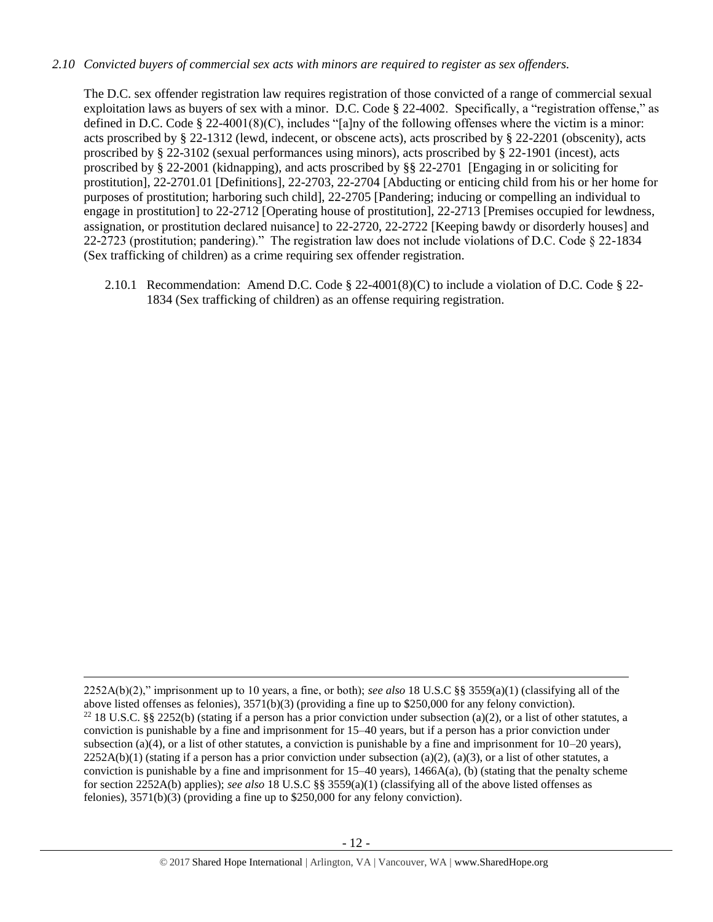## *2.10 Convicted buyers of commercial sex acts with minors are required to register as sex offenders.*

The D.C. sex offender registration law requires registration of those convicted of a range of commercial sexual exploitation laws as buyers of sex with a minor. D.C. Code § 22-4002. Specifically, a "registration offense," as defined in D.C. Code § 22-4001(8)(C), includes "[a]ny of the following offenses where the victim is a minor: acts proscribed by § 22-1312 (lewd, indecent, or obscene acts), acts proscribed by § 22-2201 (obscenity), acts proscribed by § 22-3102 (sexual performances using minors), acts proscribed by § 22-1901 (incest), acts proscribed by § 22-2001 (kidnapping), and acts proscribed by §§ 22-2701 [Engaging in or soliciting for prostitution], 22-2701.01 [Definitions], 22-2703, 22-2704 [Abducting or enticing child from his or her home for purposes of prostitution; harboring such child], 22-2705 [Pandering; inducing or compelling an individual to engage in prostitution] to 22-2712 [Operating house of prostitution], 22-2713 [Premises occupied for lewdness, assignation, or prostitution declared nuisance] to 22-2720, 22-2722 [Keeping bawdy or disorderly houses] and 22-2723 (prostitution; pandering)." The registration law does not include violations of D.C. Code § 22-1834 (Sex trafficking of children) as a crime requiring sex offender registration.

2.10.1 Recommendation: Amend D.C. Code § 22-4001(8)(C) to include a violation of D.C. Code § 22- 1834 (Sex trafficking of children) as an offense requiring registration.

 $\overline{\phantom{a}}$ 2252A(b)(2)," imprisonment up to 10 years, a fine, or both); *see also* 18 U.S.C §§ 3559(a)(1) (classifying all of the above listed offenses as felonies), 3571(b)(3) (providing a fine up to \$250,000 for any felony conviction). <sup>22</sup> 18 U.S.C. §§ 2252(b) (stating if a person has a prior conviction under subsection (a)(2), or a list of other statutes, a conviction is punishable by a fine and imprisonment for 15–40 years, but if a person has a prior conviction under subsection (a)(4), or a list of other statutes, a conviction is punishable by a fine and imprisonment for  $10-20$  years),  $2252A(b)(1)$  (stating if a person has a prior conviction under subsection (a)(2), (a)(3), or a list of other statutes, a conviction is punishable by a fine and imprisonment for  $15-40$  years),  $1466A(a)$ , (b) (stating that the penalty scheme for section 2252A(b) applies); *see also* 18 U.S.C §§ 3559(a)(1) (classifying all of the above listed offenses as felonies), 3571(b)(3) (providing a fine up to \$250,000 for any felony conviction).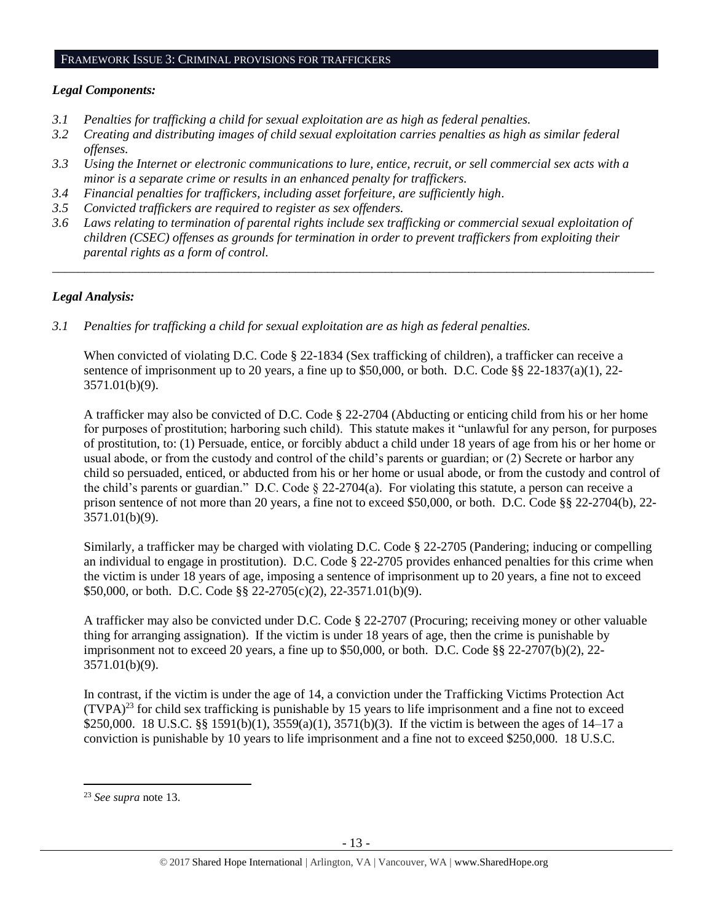#### FRAMEWORK ISSUE 3: CRIMINAL PROVISIONS FOR TRAFFICKERS

#### *Legal Components:*

- *3.1 Penalties for trafficking a child for sexual exploitation are as high as federal penalties.*
- *3.2 Creating and distributing images of child sexual exploitation carries penalties as high as similar federal offenses.*
- *3.3 Using the Internet or electronic communications to lure, entice, recruit, or sell commercial sex acts with a minor is a separate crime or results in an enhanced penalty for traffickers.*
- *3.4 Financial penalties for traffickers, including asset forfeiture, are sufficiently high*.
- *3.5 Convicted traffickers are required to register as sex offenders.*
- *3.6 Laws relating to termination of parental rights include sex trafficking or commercial sexual exploitation of children (CSEC) offenses as grounds for termination in order to prevent traffickers from exploiting their parental rights as a form of control.*

*\_\_\_\_\_\_\_\_\_\_\_\_\_\_\_\_\_\_\_\_\_\_\_\_\_\_\_\_\_\_\_\_\_\_\_\_\_\_\_\_\_\_\_\_\_\_\_\_\_\_\_\_\_\_\_\_\_\_\_\_\_\_\_\_\_\_\_\_\_\_\_\_\_\_\_\_\_\_\_\_\_\_\_\_\_\_\_\_\_\_\_\_\_\_*

### *Legal Analysis:*

*3.1 Penalties for trafficking a child for sexual exploitation are as high as federal penalties.*

When convicted of violating D.C. Code § 22-1834 (Sex trafficking of children), a trafficker can receive a sentence of imprisonment up to 20 years, a fine up to \$50,000, or both. D.C. Code §§ 22-1837(a)(1), 22- 3571.01(b)(9).

A trafficker may also be convicted of D.C. Code § 22-2704 (Abducting or enticing child from his or her home for purposes of prostitution; harboring such child). This statute makes it "unlawful for any person, for purposes of prostitution, to: (1) Persuade, entice, or forcibly abduct a child under 18 years of age from his or her home or usual abode, or from the custody and control of the child's parents or guardian; or (2) Secrete or harbor any child so persuaded, enticed, or abducted from his or her home or usual abode, or from the custody and control of the child's parents or guardian." D.C. Code § 22-2704(a). For violating this statute, a person can receive a prison sentence of not more than 20 years, a fine not to exceed \$50,000, or both. D.C. Code §§ 22-2704(b), 22- 3571.01(b)(9).

Similarly, a trafficker may be charged with violating D.C. Code § 22-2705 (Pandering; inducing or compelling an individual to engage in prostitution). D.C. Code § 22-2705 provides enhanced penalties for this crime when the victim is under 18 years of age, imposing a sentence of imprisonment up to 20 years, a fine not to exceed \$50,000, or both. D.C. Code §§ 22-2705(c)(2), 22-3571.01(b)(9).

A trafficker may also be convicted under D.C. Code § 22-2707 (Procuring; receiving money or other valuable thing for arranging assignation). If the victim is under 18 years of age, then the crime is punishable by imprisonment not to exceed 20 years, a fine up to \$50,000, or both. D.C. Code §§ 22-2707(b)(2), 22- 3571.01(b)(9).

In contrast, if the victim is under the age of 14, a conviction under the Trafficking Victims Protection Act  $(TVPA)^{23}$  for child sex trafficking is punishable by 15 years to life imprisonment and a fine not to exceed \$250,000. 18 U.S.C. §§ 1591(b)(1), 3559(a)(1), 3571(b)(3). If the victim is between the ages of 14–17 a conviction is punishable by 10 years to life imprisonment and a fine not to exceed \$250,000. 18 U.S.C.

 $\overline{a}$ 

<sup>23</sup> *See supra* note [13.](#page-7-0)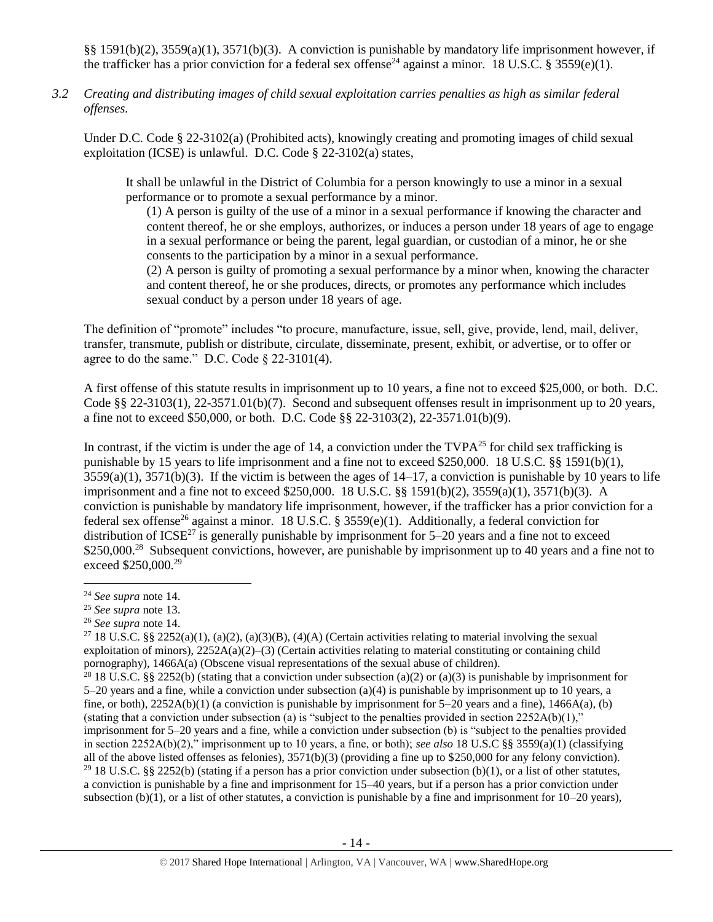§§ 1591(b)(2), 3559(a)(1), 3571(b)(3). A conviction is punishable by mandatory life imprisonment however, if the trafficker has a prior conviction for a federal sex offense<sup>24</sup> against a minor. 18 U.S.C. § 3559(e)(1).

*3.2 Creating and distributing images of child sexual exploitation carries penalties as high as similar federal offenses.*

Under D.C. Code § 22-3102(a) (Prohibited acts), knowingly creating and promoting images of child sexual exploitation (ICSE) is unlawful. D.C. Code § 22-3102(a) states,

It shall be unlawful in the District of Columbia for a person knowingly to use a minor in a sexual performance or to promote a sexual performance by a minor.

(1) A person is guilty of the use of a minor in a sexual performance if knowing the character and content thereof, he or she employs, authorizes, or induces a person under 18 years of age to engage in a sexual performance or being the parent, legal guardian, or custodian of a minor, he or she consents to the participation by a minor in a sexual performance.

(2) A person is guilty of promoting a sexual performance by a minor when, knowing the character and content thereof, he or she produces, directs, or promotes any performance which includes sexual conduct by a person under 18 years of age.

The definition of "promote" includes "to procure, manufacture, issue, sell, give, provide, lend, mail, deliver, transfer, transmute, publish or distribute, circulate, disseminate, present, exhibit, or advertise, or to offer or agree to do the same." D.C. Code  $\S$  22-3101(4).

A first offense of this statute results in imprisonment up to 10 years, a fine not to exceed \$25,000, or both. D.C. Code §§ 22-3103(1), 22-3571.01(b)(7). Second and subsequent offenses result in imprisonment up to 20 years, a fine not to exceed \$50,000, or both. D.C. Code §§ 22-3103(2), 22-3571.01(b)(9).

In contrast, if the victim is under the age of 14, a conviction under the  $TVPA^{25}$  for child sex trafficking is punishable by 15 years to life imprisonment and a fine not to exceed \$250,000. 18 U.S.C. §§ 1591(b)(1),  $3559(a)(1)$ ,  $3571(b)(3)$ . If the victim is between the ages of  $14-17$ , a conviction is punishable by 10 years to life imprisonment and a fine not to exceed \$250,000. 18 U.S.C. §§ 1591(b)(2), 3559(a)(1), 3571(b)(3). A conviction is punishable by mandatory life imprisonment, however, if the trafficker has a prior conviction for a federal sex offense<sup>26</sup> against a minor. 18 U.S.C. § 3559(e)(1). Additionally, a federal conviction for distribution of ICSE<sup>27</sup> is generally punishable by imprisonment for  $5-20$  years and a fine not to exceed \$250,000.<sup>28</sup> Subsequent convictions, however, are punishable by imprisonment up to 40 years and a fine not to exceed \$250,000.<sup>29</sup>

l <sup>24</sup> *See supra* note [14.](#page-7-1) 

<sup>25</sup> *See supra* note [13.](#page-7-0)

<sup>26</sup> *See supra* note [14.](#page-7-1) 

<sup>&</sup>lt;sup>27</sup> 18 U.S.C. §§ 2252(a)(1), (a)(2), (a)(3)(B), (4)(A) (Certain activities relating to material involving the sexual exploitation of minors),  $2252A(a)(2)-(3)$  (Certain activities relating to material constituting or containing child pornography), 1466A(a) (Obscene visual representations of the sexual abuse of children).

<sup>&</sup>lt;sup>28</sup> 18 U.S.C. §§ 2252(b) (stating that a conviction under subsection (a)(2) or (a)(3) is punishable by imprisonment for 5–20 years and a fine, while a conviction under subsection (a)(4) is punishable by imprisonment up to 10 years, a fine, or both),  $2252A(b)(1)$  (a conviction is punishable by imprisonment for 5–20 years and a fine),  $1466A(a)$ , (b) (stating that a conviction under subsection (a) is "subject to the penalties provided in section  $2252A(b)(1)$ ," imprisonment for 5–20 years and a fine, while a conviction under subsection (b) is "subject to the penalties provided in section 2252A(b)(2)," imprisonment up to 10 years, a fine, or both); *see also* 18 U.S.C §§ 3559(a)(1) (classifying all of the above listed offenses as felonies),  $3571(b)(3)$  (providing a fine up to \$250,000 for any felony conviction). <sup>29</sup> 18 U.S.C. §§ 2252(b) (stating if a person has a prior conviction under subsection (b)(1), or a list of other statutes, a conviction is punishable by a fine and imprisonment for 15–40 years, but if a person has a prior conviction under subsection (b)(1), or a list of other statutes, a conviction is punishable by a fine and imprisonment for  $10-20$  years),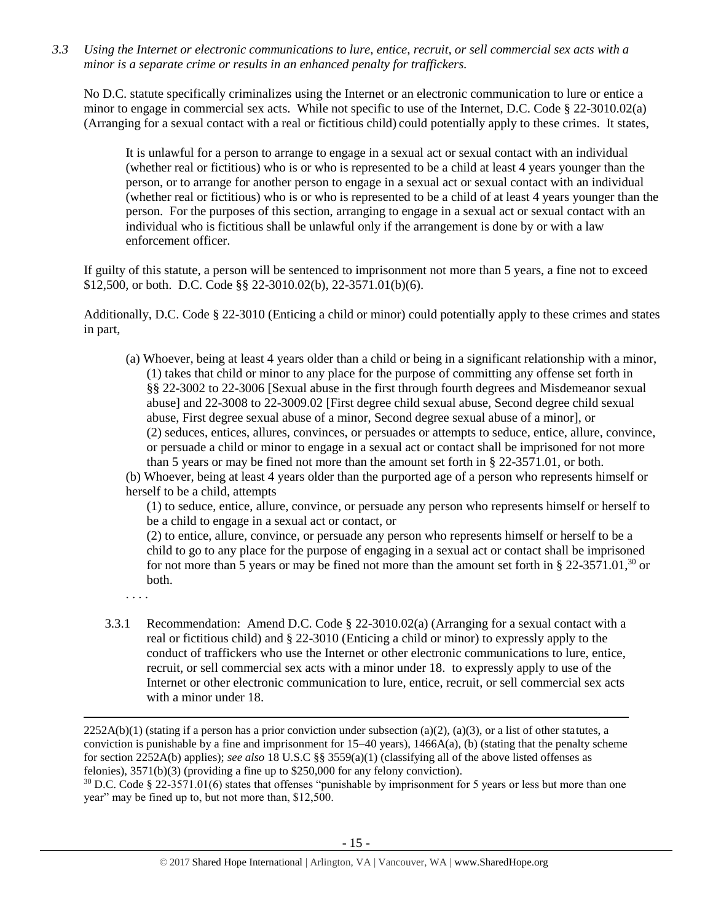*3.3 Using the Internet or electronic communications to lure, entice, recruit, or sell commercial sex acts with a minor is a separate crime or results in an enhanced penalty for traffickers.*

No D.C. statute specifically criminalizes using the Internet or an electronic communication to lure or entice a minor to engage in commercial sex acts. While not specific to use of the Internet, D.C. Code § 22-3010.02(a) (Arranging for a sexual contact with a real or fictitious child) could potentially apply to these crimes. It states,

It is unlawful for a person to arrange to engage in a sexual act or sexual contact with an individual (whether real or fictitious) who is or who is represented to be a child at least 4 years younger than the person, or to arrange for another person to engage in a sexual act or sexual contact with an individual (whether real or fictitious) who is or who is represented to be a child of at least 4 years younger than the person. For the purposes of this section, arranging to engage in a sexual act or sexual contact with an individual who is fictitious shall be unlawful only if the arrangement is done by or with a law enforcement officer.

If guilty of this statute, a person will be sentenced to imprisonment not more than 5 years, a fine not to exceed \$12,500, or both. D.C. Code §§ 22-3010.02(b), 22-3571.01(b)(6).

Additionally, D.C. Code § 22-3010 (Enticing a child or minor) could potentially apply to these crimes and states in part,

(a) Whoever, being at least 4 years older than a child or being in a significant relationship with a minor, (1) takes that child or minor to any place for the purpose of committing any offense set forth in §§ 22-3002 to 22-3006 [Sexual abuse in the first through fourth degrees and Misdemeanor sexual abuse] and 22-3008 to 22-3009.02 [First degree child sexual abuse, Second degree child sexual abuse, First degree sexual abuse of a minor, Second degree sexual abuse of a minor], or (2) seduces, entices, allures, convinces, or persuades or attempts to seduce, entice, allure, convince, or persuade a child or minor to engage in a sexual act or contact shall be imprisoned for not more than 5 years or may be fined not more than the amount set forth in § 22-3571.01, or both.

(b) Whoever, being at least 4 years older than the purported age of a person who represents himself or herself to be a child, attempts

(1) to seduce, entice, allure, convince, or persuade any person who represents himself or herself to be a child to engage in a sexual act or contact, or

(2) to entice, allure, convince, or persuade any person who represents himself or herself to be a child to go to any place for the purpose of engaging in a sexual act or contact shall be imprisoned for not more than 5 years or may be fined not more than the amount set forth in  $\S 22-3571.01$ ,<sup>30</sup> or both.

. . . .

 $\overline{\phantom{a}}$ 

3.3.1 Recommendation: Amend D.C. Code § 22-3010.02(a) (Arranging for a sexual contact with a real or fictitious child) and § 22-3010 (Enticing a child or minor) to expressly apply to the conduct of traffickers who use the Internet or other electronic communications to lure, entice, recruit, or sell commercial sex acts with a minor under 18. to expressly apply to use of the Internet or other electronic communication to lure, entice, recruit, or sell commercial sex acts with a minor under 18.

 $2252A(b)(1)$  (stating if a person has a prior conviction under subsection (a)(2), (a)(3), or a list of other statutes, a conviction is punishable by a fine and imprisonment for  $15-40$  years),  $1466A(a)$ , (b) (stating that the penalty scheme for section 2252A(b) applies); *see also* 18 U.S.C §§ 3559(a)(1) (classifying all of the above listed offenses as felonies), 3571(b)(3) (providing a fine up to \$250,000 for any felony conviction).

 $30$  D.C. Code § 22-3571.01(6) states that offenses "punishable by imprisonment for 5 years or less but more than one year" may be fined up to, but not more than, \$12,500.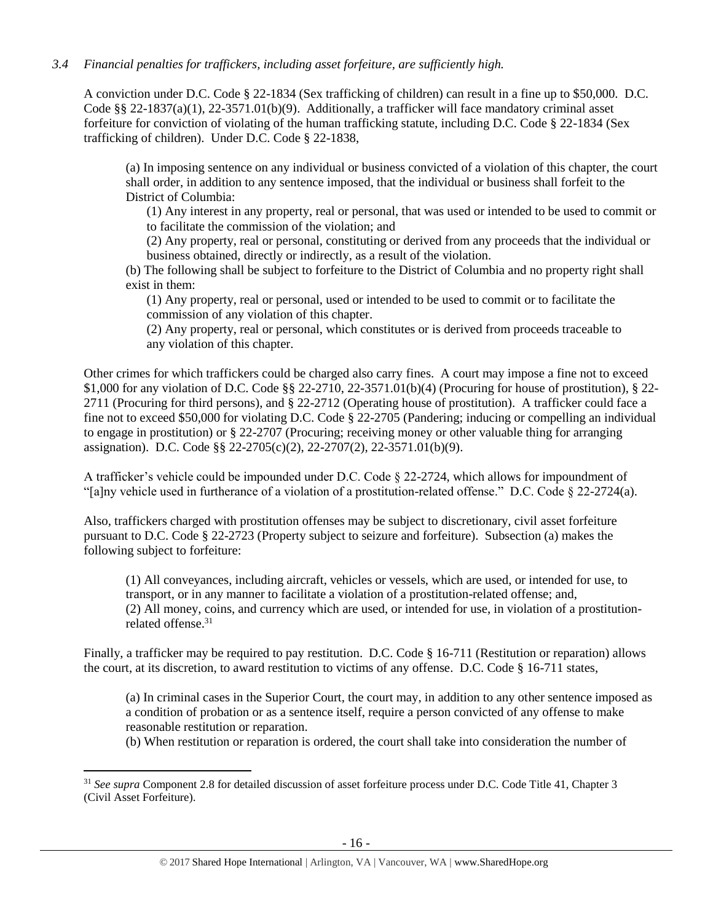# *3.4 Financial penalties for traffickers, including asset forfeiture, are sufficiently high.*

A conviction under D.C. Code § 22-1834 (Sex trafficking of children) can result in a fine up to \$50,000. D.C. Code §§ 22-1837(a)(1), 22-3571.01(b)(9). Additionally, a trafficker will face mandatory criminal asset forfeiture for conviction of violating of the human trafficking statute, including D.C. Code § 22-1834 (Sex trafficking of children). Under D.C. Code § 22-1838,

(a) In imposing sentence on any individual or business convicted of a violation of this chapter, the court shall order, in addition to any sentence imposed, that the individual or business shall forfeit to the District of Columbia:

(1) Any interest in any property, real or personal, that was used or intended to be used to commit or to facilitate the commission of the violation; and

(2) Any property, real or personal, constituting or derived from any proceeds that the individual or business obtained, directly or indirectly, as a result of the violation.

(b) The following shall be subject to forfeiture to the District of Columbia and no property right shall exist in them:

(1) Any property, real or personal, used or intended to be used to commit or to facilitate the commission of any violation of this chapter.

(2) Any property, real or personal, which constitutes or is derived from proceeds traceable to any violation of this chapter.

Other crimes for which traffickers could be charged also carry fines. A court may impose a fine not to exceed \$1,000 for any violation of D.C. Code §§ 22-2710, 22-3571.01(b)(4) (Procuring for house of prostitution), § 22- 2711 (Procuring for third persons), and § 22-2712 (Operating house of prostitution). A trafficker could face a fine not to exceed \$50,000 for violating D.C. Code § 22-2705 (Pandering; inducing or compelling an individual to engage in prostitution) or § 22-2707 (Procuring; receiving money or other valuable thing for arranging assignation). D.C. Code §§ 22-2705(c)(2), 22-2707(2), 22-3571.01(b)(9).

A trafficker's vehicle could be impounded under D.C. Code § 22-2724, which allows for impoundment of "[a]ny vehicle used in furtherance of a violation of a prostitution-related offense." D.C. Code § 22-2724(a).

Also, traffickers charged with prostitution offenses may be subject to discretionary, civil asset forfeiture pursuant to D.C. Code § 22-2723 (Property subject to seizure and forfeiture). Subsection (a) makes the following subject to forfeiture:

(1) All conveyances, including aircraft, vehicles or vessels, which are used, or intended for use, to transport, or in any manner to facilitate a violation of a prostitution-related offense; and, (2) All money, coins, and currency which are used, or intended for use, in violation of a prostitutionrelated offense<sup>31</sup>

Finally, a trafficker may be required to pay restitution. D.C. Code § 16-711 (Restitution or reparation) allows the court, at its discretion, to award restitution to victims of any offense. D.C. Code § 16-711 states,

(a) In criminal cases in the Superior Court, the court may, in addition to any other sentence imposed as a condition of probation or as a sentence itself, require a person convicted of any offense to make reasonable restitution or reparation.

(b) When restitution or reparation is ordered, the court shall take into consideration the number of

 $\overline{\phantom{a}}$ 

<sup>31</sup> *See supra* Component 2.8 for detailed discussion of asset forfeiture process under D.C. Code Title 41, Chapter 3 (Civil Asset Forfeiture).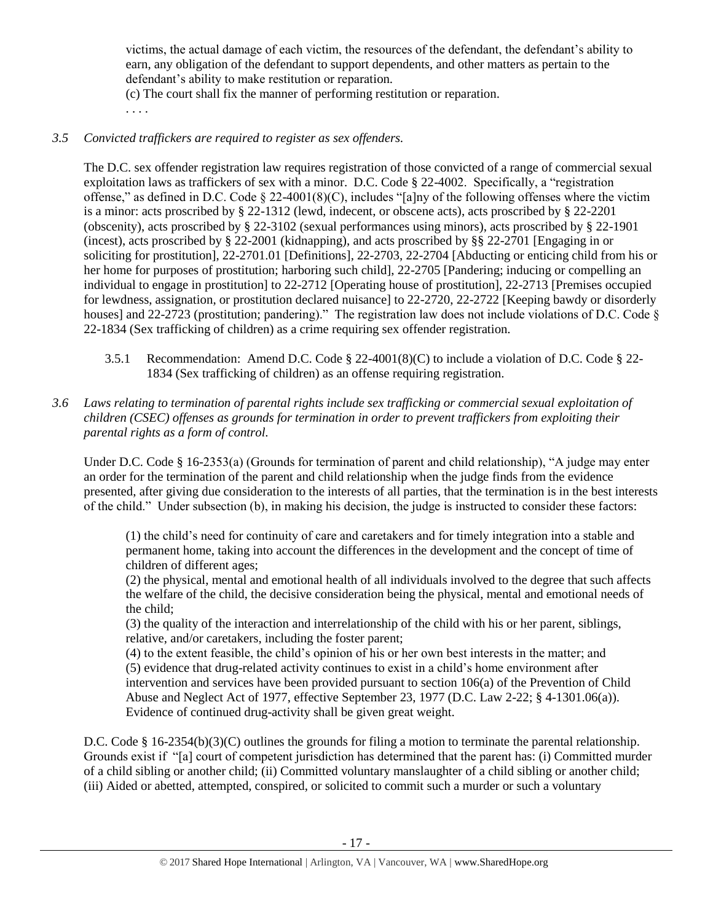victims, the actual damage of each victim, the resources of the defendant, the defendant's ability to earn, any obligation of the defendant to support dependents, and other matters as pertain to the defendant's ability to make restitution or reparation.

(c) The court shall fix the manner of performing restitution or reparation.

. . . .

# *3.5 Convicted traffickers are required to register as sex offenders.*

The D.C. sex offender registration law requires registration of those convicted of a range of commercial sexual exploitation laws as traffickers of sex with a minor. D.C. Code § 22-4002. Specifically, a "registration offense," as defined in D.C. Code  $\S 22-4001(8)(C)$ , includes "[a]ny of the following offenses where the victim is a minor: acts proscribed by § 22-1312 (lewd, indecent, or obscene acts), acts proscribed by § 22-2201 (obscenity), acts proscribed by § 22-3102 (sexual performances using minors), acts proscribed by § 22-1901 (incest), acts proscribed by § 22-2001 (kidnapping), and acts proscribed by §§ 22-2701 [Engaging in or soliciting for prostitution], 22-2701.01 [Definitions], 22-2703, 22-2704 [Abducting or enticing child from his or her home for purposes of prostitution; harboring such child], 22-2705 [Pandering; inducing or compelling an individual to engage in prostitution] to 22-2712 [Operating house of prostitution], 22-2713 [Premises occupied for lewdness, assignation, or prostitution declared nuisance] to 22-2720, 22-2722 [Keeping bawdy or disorderly houses] and 22-2723 (prostitution; pandering)." The registration law does not include violations of D.C. Code  $\S$ 22-1834 (Sex trafficking of children) as a crime requiring sex offender registration.

3.5.1 Recommendation: Amend D.C. Code § 22-4001(8)(C) to include a violation of D.C. Code § 22- 1834 (Sex trafficking of children) as an offense requiring registration.

*3.6 Laws relating to termination of parental rights include sex trafficking or commercial sexual exploitation of children (CSEC) offenses as grounds for termination in order to prevent traffickers from exploiting their parental rights as a form of control.* 

Under D.C. Code § 16-2353(a) (Grounds for termination of parent and child relationship), "A judge may enter an order for the termination of the parent and child relationship when the judge finds from the evidence presented, after giving due consideration to the interests of all parties, that the termination is in the best interests of the child." Under subsection (b), in making his decision, the judge is instructed to consider these factors:

(1) the child's need for continuity of care and caretakers and for timely integration into a stable and permanent home, taking into account the differences in the development and the concept of time of children of different ages;

(2) the physical, mental and emotional health of all individuals involved to the degree that such affects the welfare of the child, the decisive consideration being the physical, mental and emotional needs of the child;

(3) the quality of the interaction and interrelationship of the child with his or her parent, siblings, relative, and/or caretakers, including the foster parent;

(4) to the extent feasible, the child's opinion of his or her own best interests in the matter; and (5) evidence that drug-related activity continues to exist in a child's home environment after intervention and services have been provided pursuant to section 106(a) of the Prevention of Child Abuse and Neglect Act of 1977, effective September 23, 1977 (D.C. Law 2-22; § 4-1301.06(a)). Evidence of continued drug-activity shall be given great weight.

D.C. Code § 16-2354(b)(3)(C) outlines the grounds for filing a motion to terminate the parental relationship. Grounds exist if "[a] court of competent jurisdiction has determined that the parent has: (i) Committed murder of a child sibling or another child; (ii) Committed voluntary manslaughter of a child sibling or another child; (iii) Aided or abetted, attempted, conspired, or solicited to commit such a murder or such a voluntary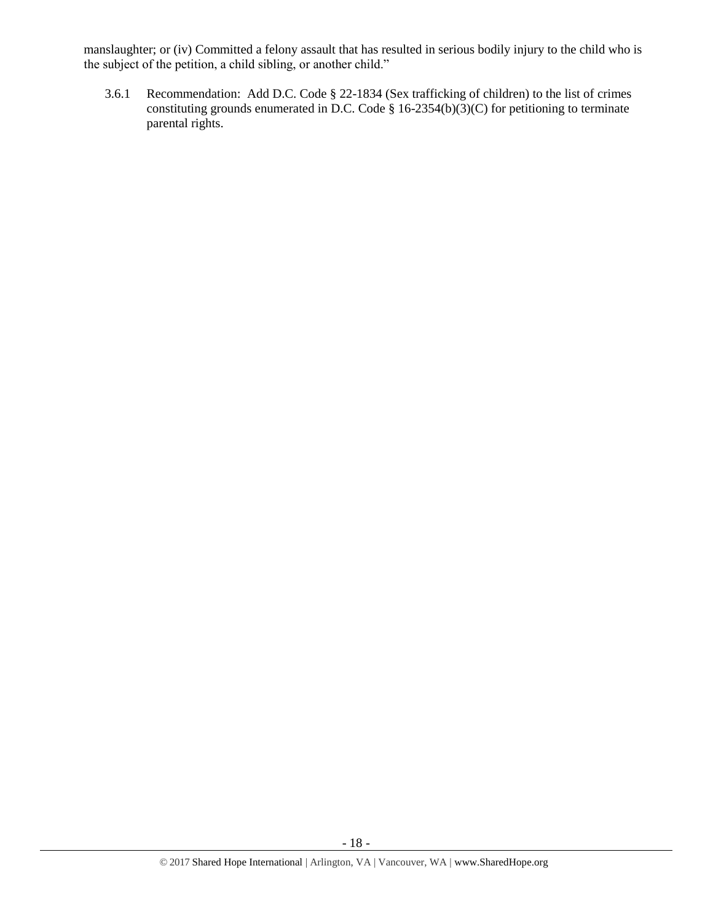manslaughter; or (iv) Committed a felony assault that has resulted in serious bodily injury to the child who is the subject of the petition, a child sibling, or another child."

3.6.1 Recommendation: Add D.C. Code § 22-1834 (Sex trafficking of children) to the list of crimes constituting grounds enumerated in D.C. Code § 16-2354(b)(3)(C) for petitioning to terminate parental rights.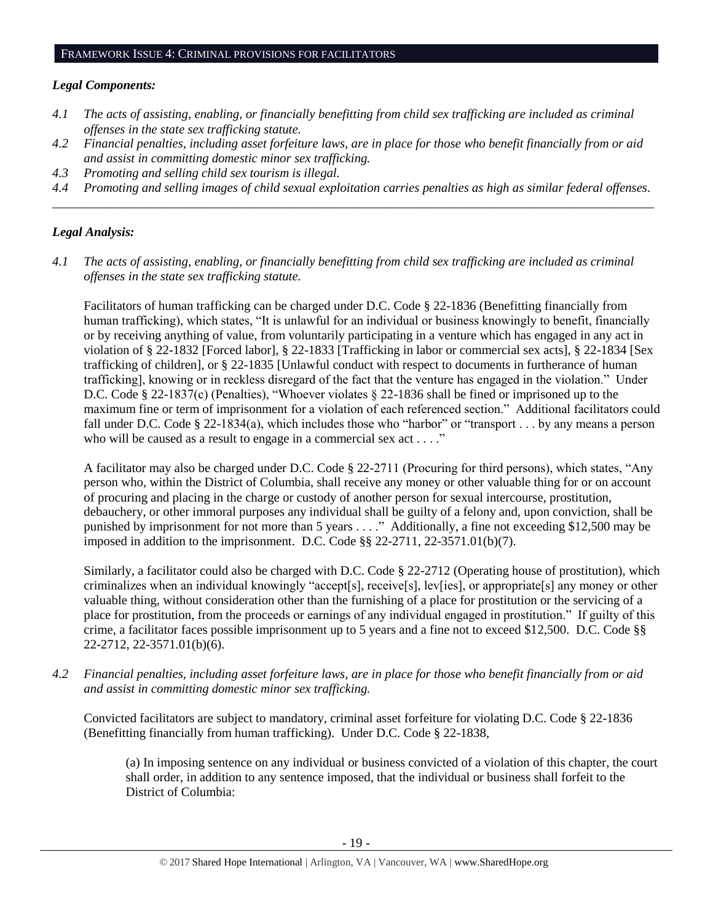## *Legal Components:*

- *4.1 The acts of assisting, enabling, or financially benefitting from child sex trafficking are included as criminal offenses in the state sex trafficking statute.*
- *4.2 Financial penalties, including asset forfeiture laws, are in place for those who benefit financially from or aid and assist in committing domestic minor sex trafficking.*
- *4.3 Promoting and selling child sex tourism is illegal.*
- *4.4 Promoting and selling images of child sexual exploitation carries penalties as high as similar federal offenses. \_\_\_\_\_\_\_\_\_\_\_\_\_\_\_\_\_\_\_\_\_\_\_\_\_\_\_\_\_\_\_\_\_\_\_\_\_\_\_\_\_\_\_\_\_\_\_\_\_\_\_\_\_\_\_\_\_\_\_\_\_\_\_\_\_\_\_\_\_\_\_\_\_\_\_\_\_\_\_\_\_\_\_\_\_\_\_\_\_\_\_\_\_\_*

# *Legal Analysis:*

*4.1 The acts of assisting, enabling, or financially benefitting from child sex trafficking are included as criminal offenses in the state sex trafficking statute.*

Facilitators of human trafficking can be charged under D.C. Code § 22-1836 (Benefitting financially from human trafficking), which states, "It is unlawful for an individual or business knowingly to benefit, financially or by receiving anything of value, from voluntarily participating in a venture which has engaged in any act in violation of § 22-1832 [Forced labor], § 22-1833 [Trafficking in labor or commercial sex acts], § 22-1834 [Sex trafficking of children], or § 22-1835 [Unlawful conduct with respect to documents in furtherance of human trafficking], knowing or in reckless disregard of the fact that the venture has engaged in the violation." Under D.C. Code § 22-1837(c) (Penalties), "Whoever violates § 22-1836 shall be fined or imprisoned up to the maximum fine or term of imprisonment for a violation of each referenced section." Additional facilitators could fall under D.C. Code § 22-1834(a), which includes those who "harbor" or "transport . . . by any means a person who will be caused as a result to engage in a commercial sex act . . . ."

A facilitator may also be charged under D.C. Code § 22-2711 (Procuring for third persons), which states, "Any person who, within the District of Columbia, shall receive any money or other valuable thing for or on account of procuring and placing in the charge or custody of another person for sexual intercourse, prostitution, debauchery, or other immoral purposes any individual shall be guilty of a felony and, upon conviction, shall be punished by imprisonment for not more than 5 years . . . ." Additionally, a fine not exceeding \$12,500 may be imposed in addition to the imprisonment. D.C. Code §§ 22-2711, 22-3571.01(b)(7).

Similarly, a facilitator could also be charged with D.C. Code § 22-2712 (Operating house of prostitution), which criminalizes when an individual knowingly "accept[s], receive[s], lev[ies], or appropriate[s] any money or other valuable thing, without consideration other than the furnishing of a place for prostitution or the servicing of a place for prostitution, from the proceeds or earnings of any individual engaged in prostitution." If guilty of this crime, a facilitator faces possible imprisonment up to 5 years and a fine not to exceed \$12,500. D.C. Code §§ 22-2712, 22-3571.01(b)(6).

*4.2 Financial penalties, including asset forfeiture laws, are in place for those who benefit financially from or aid and assist in committing domestic minor sex trafficking.*

Convicted facilitators are subject to mandatory, criminal asset forfeiture for violating D.C. Code § 22-1836 (Benefitting financially from human trafficking). Under D.C. Code § 22-1838,

(a) In imposing sentence on any individual or business convicted of a violation of this chapter, the court shall order, in addition to any sentence imposed, that the individual or business shall forfeit to the District of Columbia: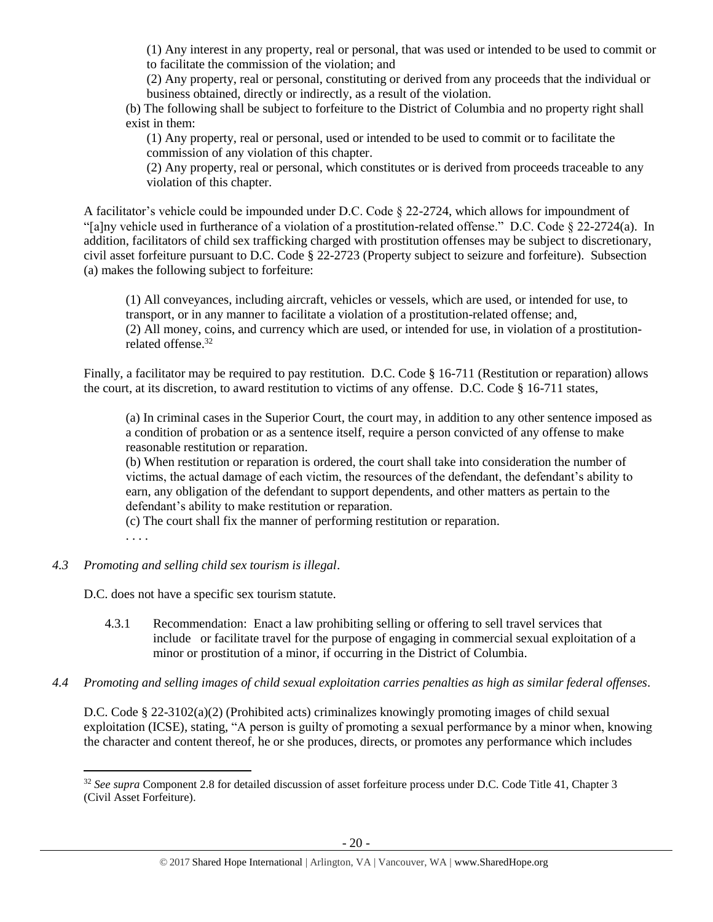(1) Any interest in any property, real or personal, that was used or intended to be used to commit or to facilitate the commission of the violation; and

(2) Any property, real or personal, constituting or derived from any proceeds that the individual or business obtained, directly or indirectly, as a result of the violation.

(b) The following shall be subject to forfeiture to the District of Columbia and no property right shall exist in them:

(1) Any property, real or personal, used or intended to be used to commit or to facilitate the commission of any violation of this chapter.

(2) Any property, real or personal, which constitutes or is derived from proceeds traceable to any violation of this chapter.

A facilitator's vehicle could be impounded under D.C. Code § 22-2724, which allows for impoundment of "[a]ny vehicle used in furtherance of a violation of a prostitution-related offense." D.C. Code § 22-2724(a). In addition, facilitators of child sex trafficking charged with prostitution offenses may be subject to discretionary, civil asset forfeiture pursuant to D.C. Code § 22-2723 (Property subject to seizure and forfeiture). Subsection (a) makes the following subject to forfeiture:

(1) All conveyances, including aircraft, vehicles or vessels, which are used, or intended for use, to transport, or in any manner to facilitate a violation of a prostitution-related offense; and, (2) All money, coins, and currency which are used, or intended for use, in violation of a prostitutionrelated offense. 32

Finally, a facilitator may be required to pay restitution. D.C. Code § 16-711 (Restitution or reparation) allows the court, at its discretion, to award restitution to victims of any offense. D.C. Code § 16-711 states,

(a) In criminal cases in the Superior Court, the court may, in addition to any other sentence imposed as a condition of probation or as a sentence itself, require a person convicted of any offense to make reasonable restitution or reparation.

(b) When restitution or reparation is ordered, the court shall take into consideration the number of victims, the actual damage of each victim, the resources of the defendant, the defendant's ability to earn, any obligation of the defendant to support dependents, and other matters as pertain to the defendant's ability to make restitution or reparation.

(c) The court shall fix the manner of performing restitution or reparation.

. . . .

 $\overline{\phantom{a}}$ 

# *4.3 Promoting and selling child sex tourism is illegal*.

D.C. does not have a specific sex tourism statute.

- 4.3.1 Recommendation: Enact a law prohibiting selling or offering to sell travel services that include or facilitate travel for the purpose of engaging in commercial sexual exploitation of a minor or prostitution of a minor, if occurring in the District of Columbia.
- *4.4 Promoting and selling images of child sexual exploitation carries penalties as high as similar federal offenses.*

D.C. Code § 22-3102(a)(2) (Prohibited acts) criminalizes knowingly promoting images of child sexual exploitation (ICSE), stating, "A person is guilty of promoting a sexual performance by a minor when, knowing the character and content thereof, he or she produces, directs, or promotes any performance which includes

<sup>32</sup> *See supra* Component 2.8 for detailed discussion of asset forfeiture process under D.C. Code Title 41, Chapter 3 (Civil Asset Forfeiture).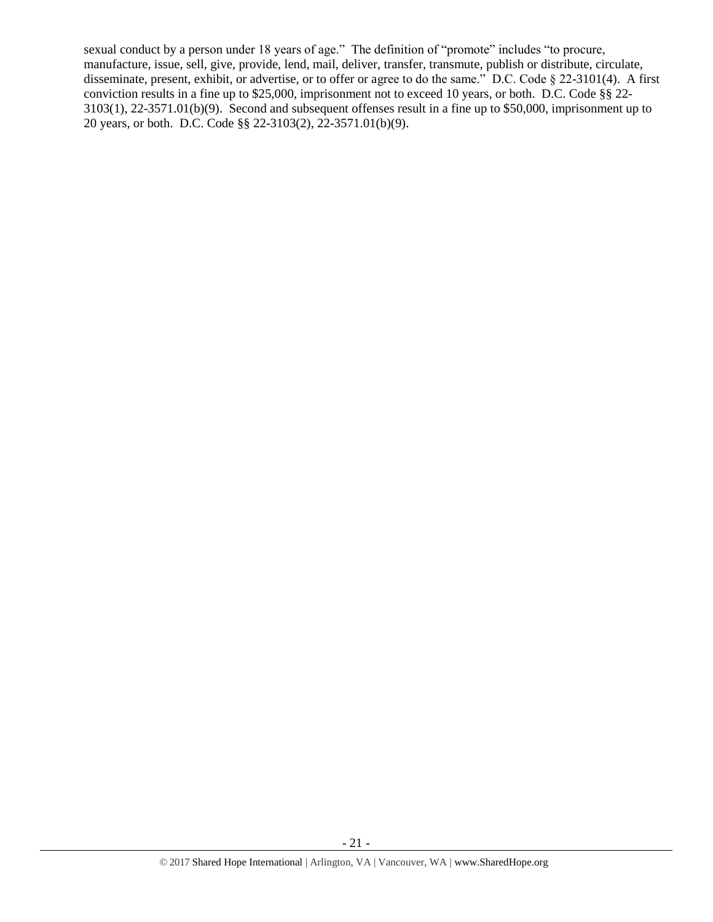sexual conduct by a person under 18 years of age." The definition of "promote" includes "to procure, manufacture, issue, sell, give, provide, lend, mail, deliver, transfer, transmute, publish or distribute, circulate, disseminate, present, exhibit, or advertise, or to offer or agree to do the same." D.C. Code § 22-3101(4). A first conviction results in a fine up to \$25,000, imprisonment not to exceed 10 years, or both. D.C. Code §§ 22- 3103(1), 22-3571.01(b)(9). Second and subsequent offenses result in a fine up to \$50,000, imprisonment up to 20 years, or both. D.C. Code §§ 22-3103(2), 22-3571.01(b)(9).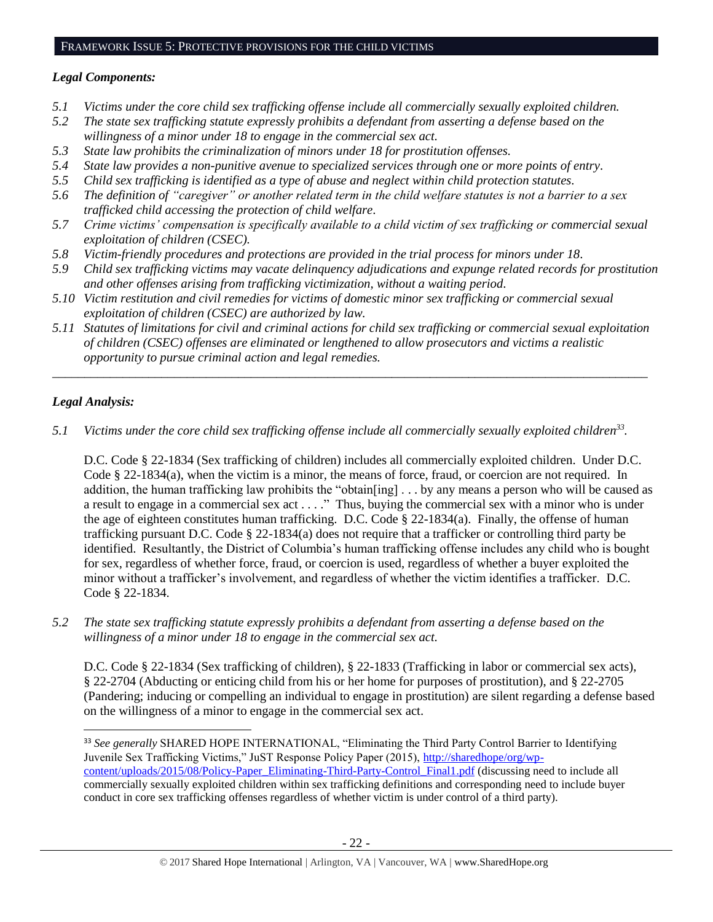#### FRAMEWORK ISSUE 5: PROTECTIVE PROVISIONS FOR THE CHILD VICTIMS

### *Legal Components:*

- *5.1 Victims under the core child sex trafficking offense include all commercially sexually exploited children.*
- *5.2 The state sex trafficking statute expressly prohibits a defendant from asserting a defense based on the willingness of a minor under 18 to engage in the commercial sex act.*
- *5.3 State law prohibits the criminalization of minors under 18 for prostitution offenses.*
- *5.4 State law provides a non-punitive avenue to specialized services through one or more points of entry.*
- *5.5 Child sex trafficking is identified as a type of abuse and neglect within child protection statutes.*
- *5.6 The definition of "caregiver" or another related term in the child welfare statutes is not a barrier to a sex trafficked child accessing the protection of child welfare.*
- *5.7 Crime victims' compensation is specifically available to a child victim of sex trafficking or commercial sexual exploitation of children (CSEC).*
- *5.8 Victim-friendly procedures and protections are provided in the trial process for minors under 18.*
- *5.9 Child sex trafficking victims may vacate delinquency adjudications and expunge related records for prostitution and other offenses arising from trafficking victimization, without a waiting period.*
- *5.10 Victim restitution and civil remedies for victims of domestic minor sex trafficking or commercial sexual exploitation of children (CSEC) are authorized by law.*
- *5.11 Statutes of limitations for civil and criminal actions for child sex trafficking or commercial sexual exploitation of children (CSEC) offenses are eliminated or lengthened to allow prosecutors and victims a realistic opportunity to pursue criminal action and legal remedies.*

*\_\_\_\_\_\_\_\_\_\_\_\_\_\_\_\_\_\_\_\_\_\_\_\_\_\_\_\_\_\_\_\_\_\_\_\_\_\_\_\_\_\_\_\_\_\_\_\_\_\_\_\_\_\_\_\_\_\_\_\_\_\_\_\_\_\_\_\_\_\_\_\_\_\_\_\_\_\_\_\_\_\_\_\_\_\_\_\_\_\_\_\_\_*

# *Legal Analysis:*

 $\overline{\phantom{a}}$ 

*5.1 Victims under the core child sex trafficking offense include all commercially sexually exploited children<sup>33</sup> .* 

D.C. Code § 22-1834 (Sex trafficking of children) includes all commercially exploited children. Under D.C. Code § 22-1834(a), when the victim is a minor, the means of force, fraud, or coercion are not required. In addition, the human trafficking law prohibits the "obtain[ing] . . . by any means a person who will be caused as a result to engage in a commercial sex act . . . ." Thus, buying the commercial sex with a minor who is under the age of eighteen constitutes human trafficking. D.C. Code § 22-1834(a). Finally, the offense of human trafficking pursuant D.C. Code § 22-1834(a) does not require that a trafficker or controlling third party be identified. Resultantly, the District of Columbia's human trafficking offense includes any child who is bought for sex, regardless of whether force, fraud, or coercion is used, regardless of whether a buyer exploited the minor without a trafficker's involvement, and regardless of whether the victim identifies a trafficker. D.C. Code § 22-1834.

*5.2 The state sex trafficking statute expressly prohibits a defendant from asserting a defense based on the willingness of a minor under 18 to engage in the commercial sex act.* 

D.C. Code § 22-1834 (Sex trafficking of children), § 22-1833 (Trafficking in labor or commercial sex acts), § 22-2704 (Abducting or enticing child from his or her home for purposes of prostitution), and § 22-2705 (Pandering; inducing or compelling an individual to engage in prostitution) are silent regarding a defense based on the willingness of a minor to engage in the commercial sex act.

<sup>33</sup> *See generally* SHARED HOPE INTERNATIONAL, "Eliminating the Third Party Control Barrier to Identifying Juvenile Sex Trafficking Victims," JuST Response Policy Paper (2015), [http://sharedhope/org/wp](http://sharedhope/org/wp-content/uploads/2015/08/Policy-Paper_Eliminating-Third-Party-Control_Final1.pdf)[content/uploads/2015/08/Policy-Paper\\_Eliminating-Third-Party-Control\\_Final1.pdf](http://sharedhope/org/wp-content/uploads/2015/08/Policy-Paper_Eliminating-Third-Party-Control_Final1.pdf) (discussing need to include all commercially sexually exploited children within sex trafficking definitions and corresponding need to include buyer conduct in core sex trafficking offenses regardless of whether victim is under control of a third party).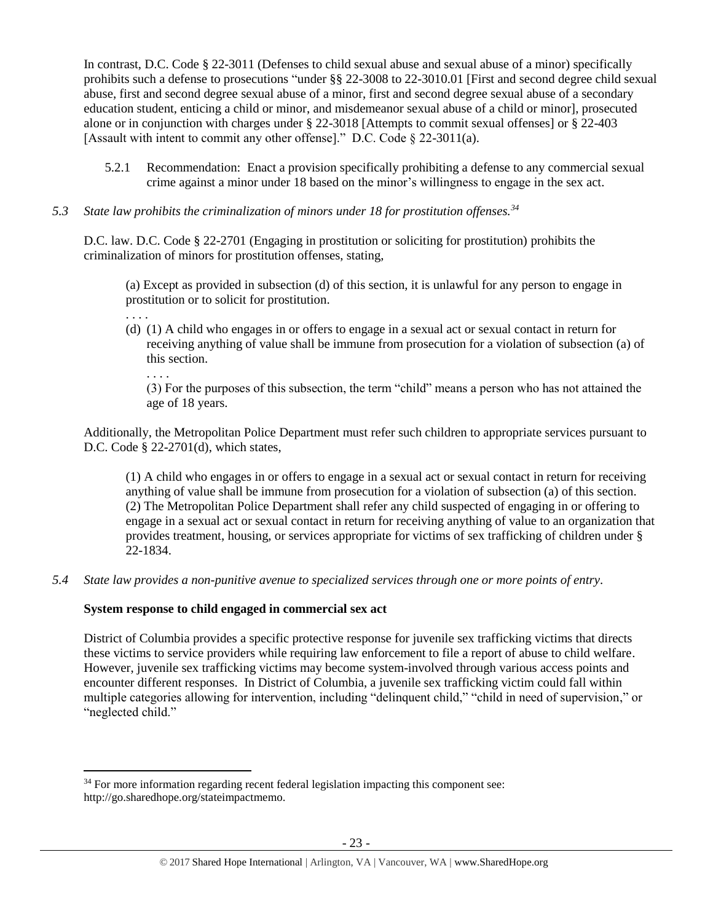In contrast, D.C. Code § 22-3011 (Defenses to child sexual abuse and sexual abuse of a minor) specifically prohibits such a defense to prosecutions "under §§ 22-3008 to 22-3010.01 [First and second degree child sexual abuse, first and second degree sexual abuse of a minor, first and second degree sexual abuse of a secondary education student, enticing a child or minor, and misdemeanor sexual abuse of a child or minor], prosecuted alone or in conjunction with charges under § 22-3018 [Attempts to commit sexual offenses] or § 22-403 [Assault with intent to commit any other offense]." D.C. Code § 22-3011(a).

- 5.2.1 Recommendation: Enact a provision specifically prohibiting a defense to any commercial sexual crime against a minor under 18 based on the minor's willingness to engage in the sex act.
- *5.3 State law prohibits the criminalization of minors under 18 for prostitution offenses.<sup>34</sup>*

D.C. law. D.C. Code § 22-2701 (Engaging in prostitution or soliciting for prostitution) prohibits the criminalization of minors for prostitution offenses, stating,

(a) Except as provided in subsection (d) of this section, it is unlawful for any person to engage in prostitution or to solicit for prostitution.

(d) (1) A child who engages in or offers to engage in a sexual act or sexual contact in return for receiving anything of value shall be immune from prosecution for a violation of subsection (a) of this section.

. . . .

. . . .

 $\overline{\phantom{a}}$ 

(3) For the purposes of this subsection, the term "child" means a person who has not attained the age of 18 years.

Additionally, the Metropolitan Police Department must refer such children to appropriate services pursuant to D.C. Code § 22-2701(d), which states,

(1) A child who engages in or offers to engage in a sexual act or sexual contact in return for receiving anything of value shall be immune from prosecution for a violation of subsection (a) of this section. (2) The Metropolitan Police Department shall refer any child suspected of engaging in or offering to engage in a sexual act or sexual contact in return for receiving anything of value to an organization that provides treatment, housing, or services appropriate for victims of sex trafficking of children under § 22-1834.

*5.4 State law provides a non-punitive avenue to specialized services through one or more points of entry.*

# **System response to child engaged in commercial sex act**

District of Columbia provides a specific protective response for juvenile sex trafficking victims that directs these victims to service providers while requiring law enforcement to file a report of abuse to child welfare. However, juvenile sex trafficking victims may become system-involved through various access points and encounter different responses. In District of Columbia, a juvenile sex trafficking victim could fall within multiple categories allowing for intervention, including "delinquent child," "child in need of supervision," or "neglected child."

<sup>&</sup>lt;sup>34</sup> For more information regarding recent federal legislation impacting this component see: http://go.sharedhope.org/stateimpactmemo.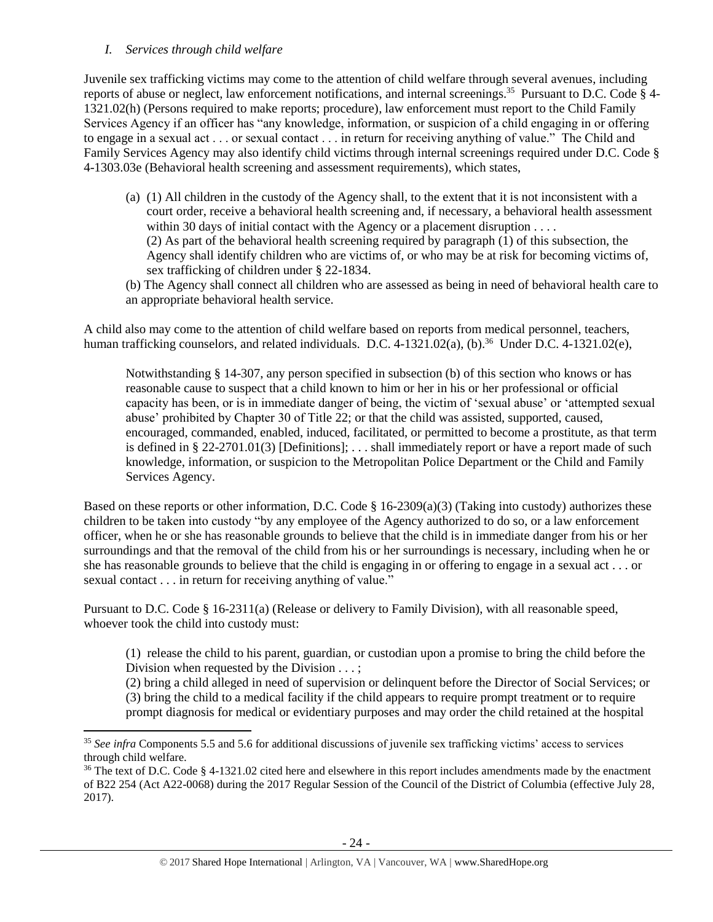## *I. Services through child welfare*

Juvenile sex trafficking victims may come to the attention of child welfare through several avenues, including reports of abuse or neglect, law enforcement notifications, and internal screenings. 35 Pursuant to D.C. Code § 4- 1321.02(h) (Persons required to make reports; procedure), law enforcement must report to the Child Family Services Agency if an officer has "any knowledge, information, or suspicion of a child engaging in or offering to engage in a sexual act . . . or sexual contact . . . in return for receiving anything of value." The Child and Family Services Agency may also identify child victims through internal screenings required under D.C. Code § 4-1303.03e (Behavioral health screening and assessment requirements), which states,

(a) (1) All children in the custody of the Agency shall, to the extent that it is not inconsistent with a court order, receive a behavioral health screening and, if necessary, a behavioral health assessment within 30 days of initial contact with the Agency or a placement disruption . . . . (2) As part of the behavioral health screening required by paragraph (1) of this subsection, the Agency shall identify children who are victims of, or who may be at risk for becoming victims of, sex trafficking of children under § 22-1834.

(b) The Agency shall connect all children who are assessed as being in need of behavioral health care to an appropriate behavioral health service.

A child also may come to the attention of child welfare based on reports from medical personnel, teachers, human trafficking counselors, and related individuals. D.C. 4-1321.02(a), (b).<sup>36</sup> Under D.C. 4-1321.02(e),

Notwithstanding § 14-307, any person specified in subsection (b) of this section who knows or has reasonable cause to suspect that a child known to him or her in his or her professional or official capacity has been, or is in immediate danger of being, the victim of 'sexual abuse' or 'attempted sexual abuse' prohibited by Chapter 30 of Title 22; or that the child was assisted, supported, caused, encouraged, commanded, enabled, induced, facilitated, or permitted to become a prostitute, as that term is defined in § 22-2701.01(3) [Definitions]; ... shall immediately report or have a report made of such knowledge, information, or suspicion to the Metropolitan Police Department or the Child and Family Services Agency.

Based on these reports or other information, D.C. Code § 16-2309(a)(3) (Taking into custody) authorizes these children to be taken into custody "by any employee of the Agency authorized to do so, or a law enforcement officer, when he or she has reasonable grounds to believe that the child is in immediate danger from his or her surroundings and that the removal of the child from his or her surroundings is necessary, including when he or she has reasonable grounds to believe that the child is engaging in or offering to engage in a sexual act . . . or sexual contact . . . in return for receiving anything of value."

Pursuant to D.C. Code § 16-2311(a) (Release or delivery to Family Division), with all reasonable speed, whoever took the child into custody must:

(1) release the child to his parent, guardian, or custodian upon a promise to bring the child before the Division when requested by the Division . . . ;

(2) bring a child alleged in need of supervision or delinquent before the Director of Social Services; or (3) bring the child to a medical facility if the child appears to require prompt treatment or to require prompt diagnosis for medical or evidentiary purposes and may order the child retained at the hospital

 $\overline{\phantom{a}}$ <sup>35</sup> *See infra* Components 5.5 and 5.6 for additional discussions of juvenile sex trafficking victims' access to services through child welfare.

<sup>&</sup>lt;sup>36</sup> The text of D.C. Code § 4-1321.02 cited here and elsewhere in this report includes amendments made by the enactment of B22 254 (Act A22-0068) during the 2017 Regular Session of the Council of the District of Columbia (effective July 28, 2017).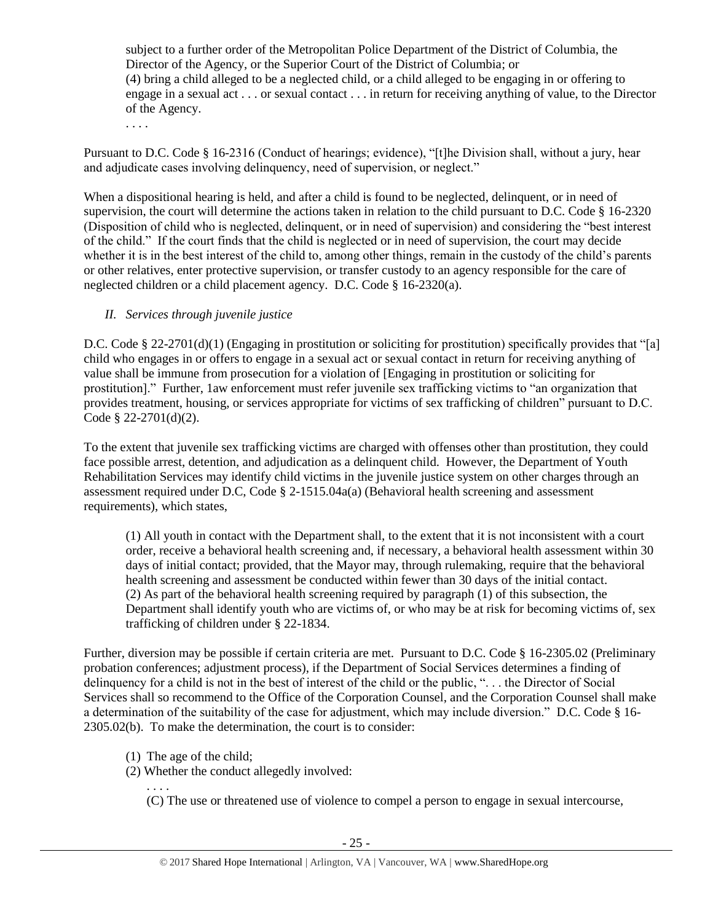subject to a further order of the Metropolitan Police Department of the District of Columbia, the Director of the Agency, or the Superior Court of the District of Columbia; or (4) bring a child alleged to be a neglected child, or a child alleged to be engaging in or offering to engage in a sexual act . . . or sexual contact . . . in return for receiving anything of value, to the Director of the Agency.

. . . .

Pursuant to D.C. Code § 16-2316 (Conduct of hearings; evidence), "[t]he Division shall, without a jury, hear and adjudicate cases involving delinquency, need of supervision, or neglect."

When a dispositional hearing is held, and after a child is found to be neglected, delinquent, or in need of supervision, the court will determine the actions taken in relation to the child pursuant to D.C. Code § 16-2320 (Disposition of child who is neglected, delinquent, or in need of supervision) and considering the "best interest of the child." If the court finds that the child is neglected or in need of supervision, the court may decide whether it is in the best interest of the child to, among other things, remain in the custody of the child's parents or other relatives, enter protective supervision, or transfer custody to an agency responsible for the care of neglected children or a child placement agency. D.C. Code § 16-2320(a).

# *II. Services through juvenile justice*

D.C. Code § 22-2701(d)(1) (Engaging in prostitution or soliciting for prostitution) specifically provides that "[a] child who engages in or offers to engage in a sexual act or sexual contact in return for receiving anything of value shall be immune from prosecution for a violation of [Engaging in prostitution or soliciting for prostitution]." Further, 1aw enforcement must refer juvenile sex trafficking victims to "an organization that provides treatment, housing, or services appropriate for victims of sex trafficking of children" pursuant to D.C. Code § 22-2701(d)(2).

To the extent that juvenile sex trafficking victims are charged with offenses other than prostitution, they could face possible arrest, detention, and adjudication as a delinquent child. However, the Department of Youth Rehabilitation Services may identify child victims in the juvenile justice system on other charges through an assessment required under D.C, Code § 2-1515.04a(a) (Behavioral health screening and assessment requirements), which states,

(1) All youth in contact with the Department shall, to the extent that it is not inconsistent with a court order, receive a behavioral health screening and, if necessary, a behavioral health assessment within 30 days of initial contact; provided, that the Mayor may, through rulemaking, require that the behavioral health screening and assessment be conducted within fewer than 30 days of the initial contact. (2) As part of the behavioral health screening required by paragraph (1) of this subsection, the Department shall identify youth who are victims of, or who may be at risk for becoming victims of, sex trafficking of children under § 22-1834.

Further, diversion may be possible if certain criteria are met. Pursuant to D.C. Code § 16-2305.02 (Preliminary probation conferences; adjustment process), if the Department of Social Services determines a finding of delinquency for a child is not in the best of interest of the child or the public, ". . . the Director of Social Services shall so recommend to the Office of the Corporation Counsel, and the Corporation Counsel shall make a determination of the suitability of the case for adjustment, which may include diversion." D.C. Code § 16- 2305.02(b). To make the determination, the court is to consider:

- (1) The age of the child;
- (2) Whether the conduct allegedly involved:

. . . . (C) The use or threatened use of violence to compel a person to engage in sexual intercourse,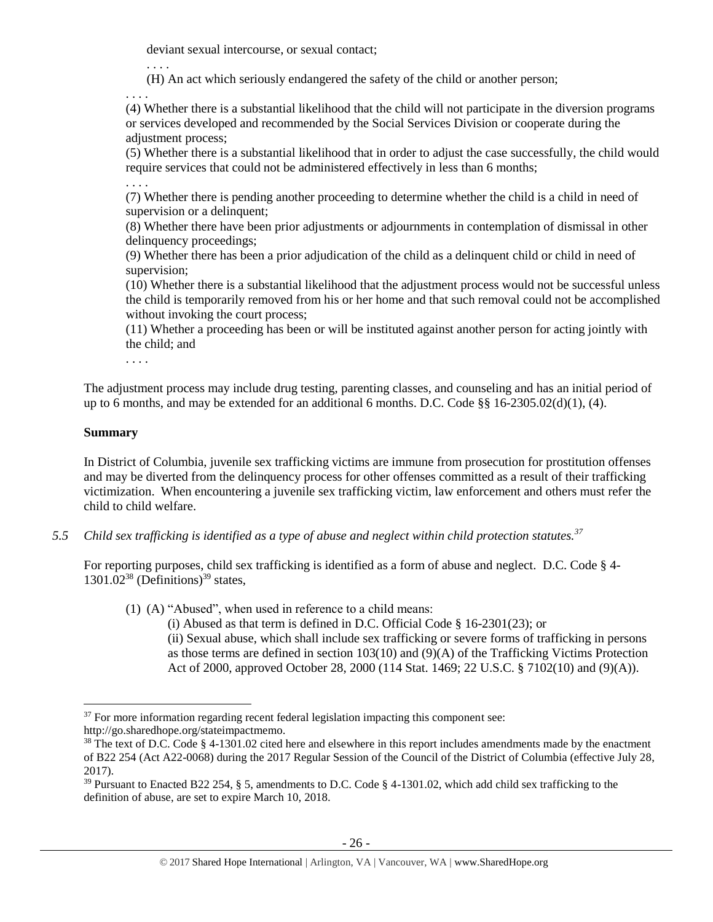deviant sexual intercourse, or sexual contact;

. . . .

(H) An act which seriously endangered the safety of the child or another person;

. . . .

(4) Whether there is a substantial likelihood that the child will not participate in the diversion programs or services developed and recommended by the Social Services Division or cooperate during the adjustment process;

(5) Whether there is a substantial likelihood that in order to adjust the case successfully, the child would require services that could not be administered effectively in less than 6 months; . . . .

(7) Whether there is pending another proceeding to determine whether the child is a child in need of supervision or a delinquent;

(8) Whether there have been prior adjustments or adjournments in contemplation of dismissal in other delinquency proceedings;

(9) Whether there has been a prior adjudication of the child as a delinquent child or child in need of supervision;

(10) Whether there is a substantial likelihood that the adjustment process would not be successful unless the child is temporarily removed from his or her home and that such removal could not be accomplished without invoking the court process;

(11) Whether a proceeding has been or will be instituted against another person for acting jointly with the child; and

. . . .

The adjustment process may include drug testing, parenting classes, and counseling and has an initial period of up to 6 months, and may be extended for an additional 6 months. D.C. Code §§ 16-2305.02(d)(1), (4).

# **Summary**

 $\overline{a}$ 

In District of Columbia, juvenile sex trafficking victims are immune from prosecution for prostitution offenses and may be diverted from the delinquency process for other offenses committed as a result of their trafficking victimization. When encountering a juvenile sex trafficking victim, law enforcement and others must refer the child to child welfare.

*5.5 Child sex trafficking is identified as a type of abuse and neglect within child protection statutes.<sup>37</sup>*

For reporting purposes, child sex trafficking is identified as a form of abuse and neglect. D.C. Code § 4-  $1301.02^{38}$  (Definitions)<sup>39</sup> states,

<span id="page-25-0"></span>(1) (A) "Abused", when used in reference to a child means:

(i) Abused as that term is defined in D.C. Official Code § 16-2301(23); or (ii) Sexual abuse, which shall include sex trafficking or severe forms of trafficking in persons as those terms are defined in section 103(10) and (9)(A) of the Trafficking Victims Protection Act of 2000, approved October 28, 2000 (114 Stat. 1469; 22 U.S.C. § 7102(10) and (9)(A)).

 $37$  For more information regarding recent federal legislation impacting this component see:

http://go.sharedhope.org/stateimpactmemo.

 $38$  The text of D.C. Code § 4-1301.02 cited here and elsewhere in this report includes amendments made by the enactment of B22 254 (Act A22-0068) during the 2017 Regular Session of the Council of the District of Columbia (effective July 28, 2017).

<sup>39</sup> Pursuant to Enacted B22 254, § 5, amendments to D.C. Code § 4-1301.02, which add child sex trafficking to the definition of abuse, are set to expire March 10, 2018.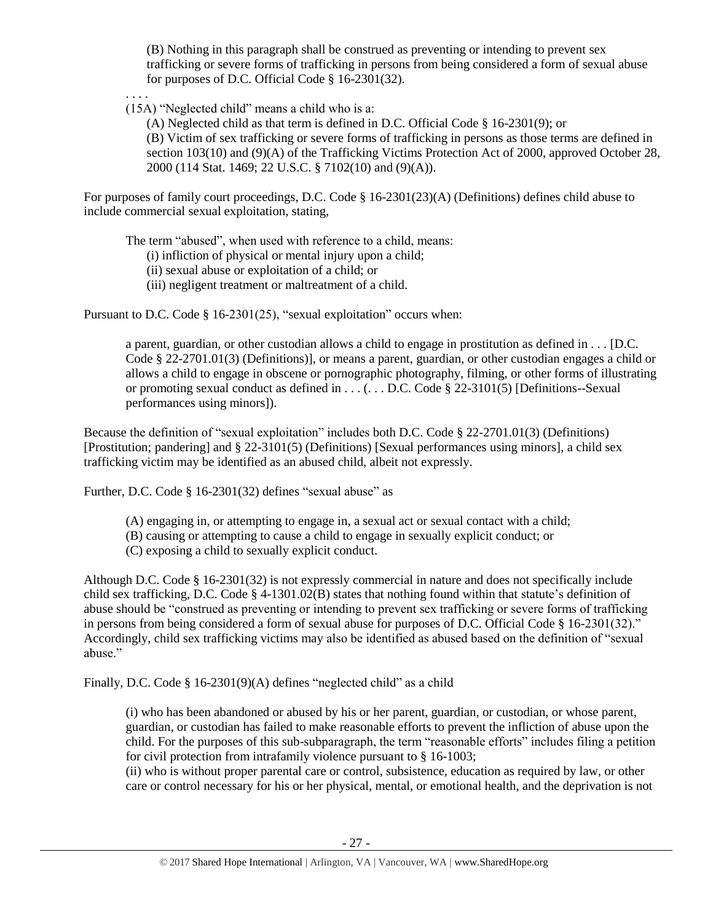(B) Nothing in this paragraph shall be construed as preventing or intending to prevent sex trafficking or severe forms of trafficking in persons from being considered a form of sexual abuse for purposes of D.C. Official Code § 16-2301(32).

. . . .

(15A) "Neglected child" means a child who is a:

(A) Neglected child as that term is defined in D.C. Official Code § 16-2301(9); or (B) Victim of sex trafficking or severe forms of trafficking in persons as those terms are defined in section 103(10) and (9)(A) of the Trafficking Victims Protection Act of 2000, approved October 28, 2000 (114 Stat. 1469; 22 U.S.C. § 7102(10) and (9)(A)).

For purposes of family court proceedings, D.C. Code § 16-2301(23)(A) (Definitions) defines child abuse to include commercial sexual exploitation, stating,

The term "abused", when used with reference to a child, means:

(i) infliction of physical or mental injury upon a child;

(ii) sexual abuse or exploitation of a child; or

(iii) negligent treatment or maltreatment of a child.

Pursuant to D.C. Code § 16-2301(25), "sexual exploitation" occurs when:

a parent, guardian, or other custodian allows a child to engage in prostitution as defined in . . . [D.C. Code § 22-2701.01(3) (Definitions)], or means a parent, guardian, or other custodian engages a child or allows a child to engage in obscene or pornographic photography, filming, or other forms of illustrating or promoting sexual conduct as defined in  $\dots$  ( $\dots$  D.C. Code § 22-3101(5) [Definitions--Sexual performances using minors]).

Because the definition of "sexual exploitation" includes both D.C. Code § 22-2701.01(3) (Definitions) [Prostitution; pandering] and § 22-3101(5) (Definitions) [Sexual performances using minors], a child sex trafficking victim may be identified as an abused child, albeit not expressly.

Further, D.C. Code § 16-2301(32) defines "sexual abuse" as

- (A) engaging in, or attempting to engage in, a sexual act or sexual contact with a child;
- (B) causing or attempting to cause a child to engage in sexually explicit conduct; or
- (C) exposing a child to sexually explicit conduct.

Although D.C. Code § 16-2301(32) is not expressly commercial in nature and does not specifically include child sex trafficking, D.C. Code § 4-1301.02(B) states that nothing found within that statute's definition of abuse should be "construed as preventing or intending to prevent sex trafficking or severe forms of trafficking in persons from being considered a form of sexual abuse for purposes of D.C. Official Code § 16-2301(32)." Accordingly, child sex trafficking victims may also be identified as abused based on the definition of "sexual abuse."

Finally, D.C. Code § 16-2301(9)(A) defines "neglected child" as a child

(i) who has been abandoned or abused by his or her parent, guardian, or custodian, or whose parent, guardian, or custodian has failed to make reasonable efforts to prevent the infliction of abuse upon the child. For the purposes of this sub-subparagraph, the term "reasonable efforts" includes filing a petition for civil protection from intrafamily violence pursuant to § 16-1003;

(ii) who is without proper parental care or control, subsistence, education as required by law, or other care or control necessary for his or her physical, mental, or emotional health, and the deprivation is not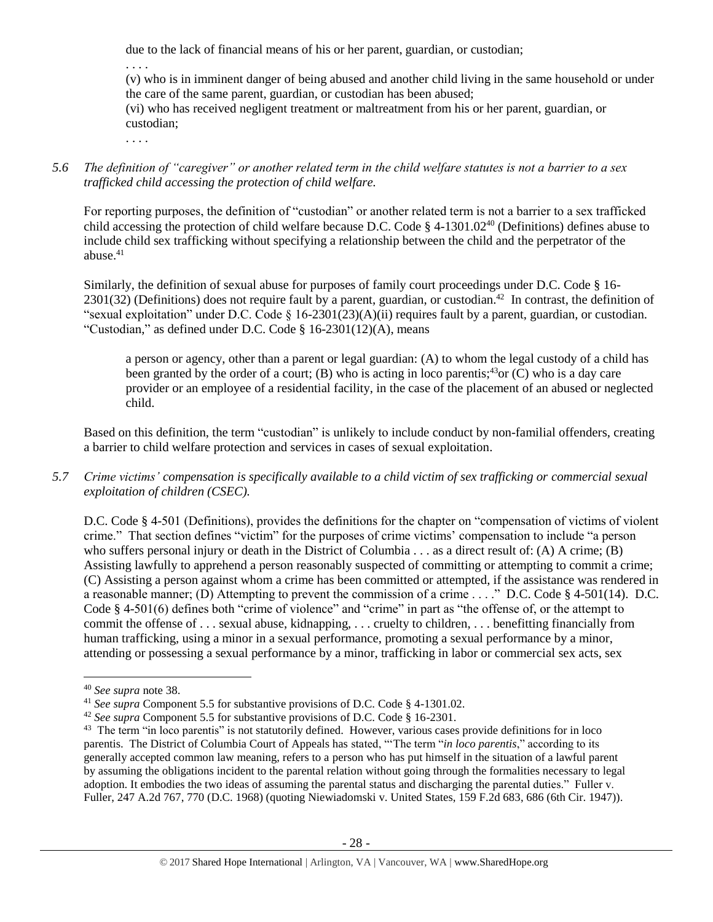due to the lack of financial means of his or her parent, guardian, or custodian;

. . . .

(v) who is in imminent danger of being abused and another child living in the same household or under the care of the same parent, guardian, or custodian has been abused;

(vi) who has received negligent treatment or maltreatment from his or her parent, guardian, or custodian;

. . . .

*5.6 The definition of "caregiver" or another related term in the child welfare statutes is not a barrier to a sex trafficked child accessing the protection of child welfare.*

For reporting purposes, the definition of "custodian" or another related term is not a barrier to a sex trafficked child accessing the protection of child welfare because D.C. Code § 4-1301.02<sup>40</sup> (Definitions) defines abuse to include child sex trafficking without specifying a relationship between the child and the perpetrator of the abuse. $41$ 

Similarly, the definition of sexual abuse for purposes of family court proceedings under D.C. Code § 16-  $2301(32)$  (Definitions) does not require fault by a parent, guardian, or custodian.<sup>42</sup> In contrast, the definition of "sexual exploitation" under D.C. Code  $\S$  16-2301(23)(A)(ii) requires fault by a parent, guardian, or custodian. "Custodian," as defined under D.C. Code § 16-2301(12)(A), means

a person or agency, other than a parent or legal guardian: (A) to whom the legal custody of a child has been granted by the order of a court; (B) who is acting in loco parentis;<sup>43</sup>or (C) who is a day care provider or an employee of a residential facility, in the case of the placement of an abused or neglected child.

Based on this definition, the term "custodian" is unlikely to include conduct by non-familial offenders, creating a barrier to child welfare protection and services in cases of sexual exploitation.

*5.7 Crime victims' compensation is specifically available to a child victim of sex trafficking or commercial sexual exploitation of children (CSEC).*

D.C. Code § 4-501 (Definitions), provides the definitions for the chapter on "compensation of victims of violent crime." That section defines "victim" for the purposes of crime victims' compensation to include "a person who suffers personal injury or death in the District of Columbia . . . as a direct result of: (A) A crime; (B) Assisting lawfully to apprehend a person reasonably suspected of committing or attempting to commit a crime; (C) Assisting a person against whom a crime has been committed or attempted, if the assistance was rendered in a reasonable manner; (D) Attempting to prevent the commission of a crime . . . ." D.C. Code § 4-501(14). D.C. Code § 4-501(6) defines both "crime of violence" and "crime" in part as "the offense of, or the attempt to commit the offense of . . . sexual abuse, kidnapping, . . . cruelty to children, . . . benefitting financially from human trafficking, using a minor in a sexual performance, promoting a sexual performance by a minor, attending or possessing a sexual performance by a minor, trafficking in labor or commercial sex acts, sex

 $\overline{\phantom{a}}$ 

<sup>40</sup> *See supra* note [38.](#page-25-0)

<sup>41</sup> *See supra* Component 5.5 for substantive provisions of D.C. Code § 4-1301.02.

<sup>42</sup> *See supra* Component 5.5 for substantive provisions of D.C. Code § 16-2301.

<sup>&</sup>lt;sup>43</sup> The term "in loco parentis" is not statutorily defined. However, various cases provide definitions for in loco parentis. The District of Columbia Court of Appeals has stated, "'The term "*in loco parentis*," according to its generally accepted common law meaning, refers to a person who has put himself in the situation of a lawful parent by assuming the obligations incident to the parental relation without going through the formalities necessary to legal adoption. It embodies the two ideas of assuming the parental status and discharging the parental duties." Fuller v. Fuller, 247 A.2d 767, 770 (D.C. 1968) (quoting Niewiadomski v. United States, 159 F.2d 683, 686 (6th Cir. 1947)).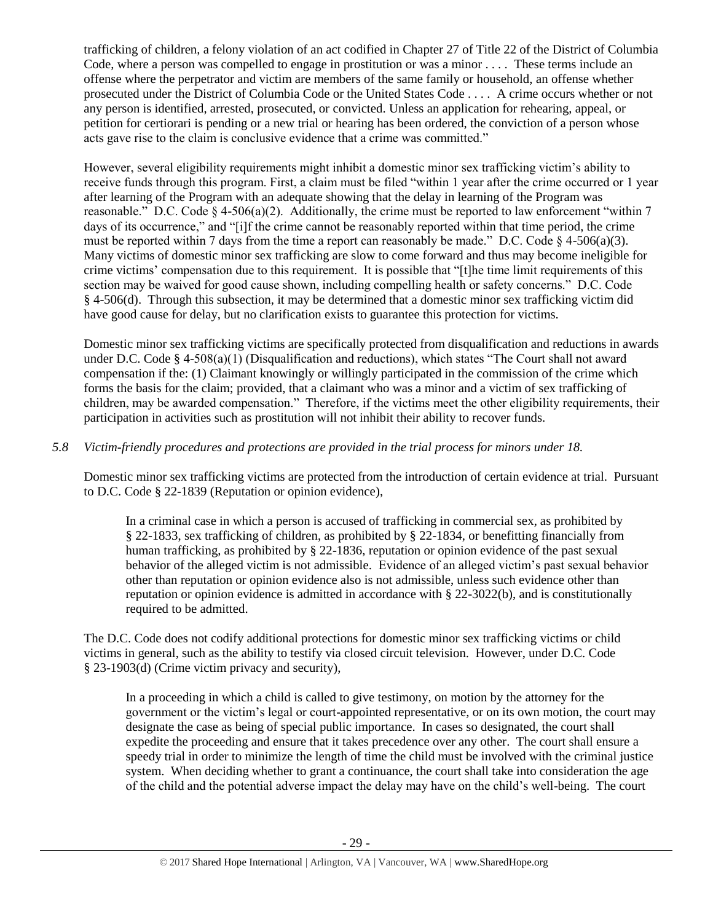trafficking of children, a felony violation of an act codified in Chapter 27 of Title 22 of the District of Columbia Code, where a person was compelled to engage in prostitution or was a minor . . . . These terms include an offense where the perpetrator and victim are members of the same family or household, an offense whether prosecuted under the District of Columbia Code or the United States Code . . . . A crime occurs whether or not any person is identified, arrested, prosecuted, or convicted. Unless an application for rehearing, appeal, or petition for certiorari is pending or a new trial or hearing has been ordered, the conviction of a person whose acts gave rise to the claim is conclusive evidence that a crime was committed."

However, several eligibility requirements might inhibit a domestic minor sex trafficking victim's ability to receive funds through this program. First, a claim must be filed "within 1 year after the crime occurred or 1 year after learning of the Program with an adequate showing that the delay in learning of the Program was reasonable." D.C. Code  $\S 4-506(a)(2)$ . Additionally, the crime must be reported to law enforcement "within 7 days of its occurrence," and "[i]f the crime cannot be reasonably reported within that time period, the crime must be reported within 7 days from the time a report can reasonably be made." D.C. Code  $\S$  4-506(a)(3). Many victims of domestic minor sex trafficking are slow to come forward and thus may become ineligible for crime victims' compensation due to this requirement. It is possible that "[t]he time limit requirements of this section may be waived for good cause shown, including compelling health or safety concerns." D.C. Code § 4-506(d). Through this subsection, it may be determined that a domestic minor sex trafficking victim did have good cause for delay, but no clarification exists to guarantee this protection for victims.

Domestic minor sex trafficking victims are specifically protected from disqualification and reductions in awards under D.C. Code § 4-508(a)(1) (Disqualification and reductions), which states "The Court shall not award compensation if the: (1) Claimant knowingly or willingly participated in the commission of the crime which forms the basis for the claim; provided, that a claimant who was a minor and a victim of sex trafficking of children, may be awarded compensation." Therefore, if the victims meet the other eligibility requirements, their participation in activities such as prostitution will not inhibit their ability to recover funds.

# *5.8 Victim-friendly procedures and protections are provided in the trial process for minors under 18.*

Domestic minor sex trafficking victims are protected from the introduction of certain evidence at trial. Pursuant to D.C. Code § 22-1839 (Reputation or opinion evidence),

In a criminal case in which a person is accused of trafficking in commercial sex, as prohibited by § 22-1833, sex trafficking of children, as prohibited by § 22-1834, or benefitting financially from human trafficking, as prohibited by § 22-1836, reputation or opinion evidence of the past sexual behavior of the alleged victim is not admissible. Evidence of an alleged victim's past sexual behavior other than reputation or opinion evidence also is not admissible, unless such evidence other than reputation or opinion evidence is admitted in accordance with § 22-3022(b), and is constitutionally required to be admitted.

The D.C. Code does not codify additional protections for domestic minor sex trafficking victims or child victims in general, such as the ability to testify via closed circuit television. However, under D.C. Code § 23-1903(d) (Crime victim privacy and security),

In a proceeding in which a child is called to give testimony, on motion by the attorney for the government or the victim's legal or court-appointed representative, or on its own motion, the court may designate the case as being of special public importance. In cases so designated, the court shall expedite the proceeding and ensure that it takes precedence over any other. The court shall ensure a speedy trial in order to minimize the length of time the child must be involved with the criminal justice system. When deciding whether to grant a continuance, the court shall take into consideration the age of the child and the potential adverse impact the delay may have on the child's well-being. The court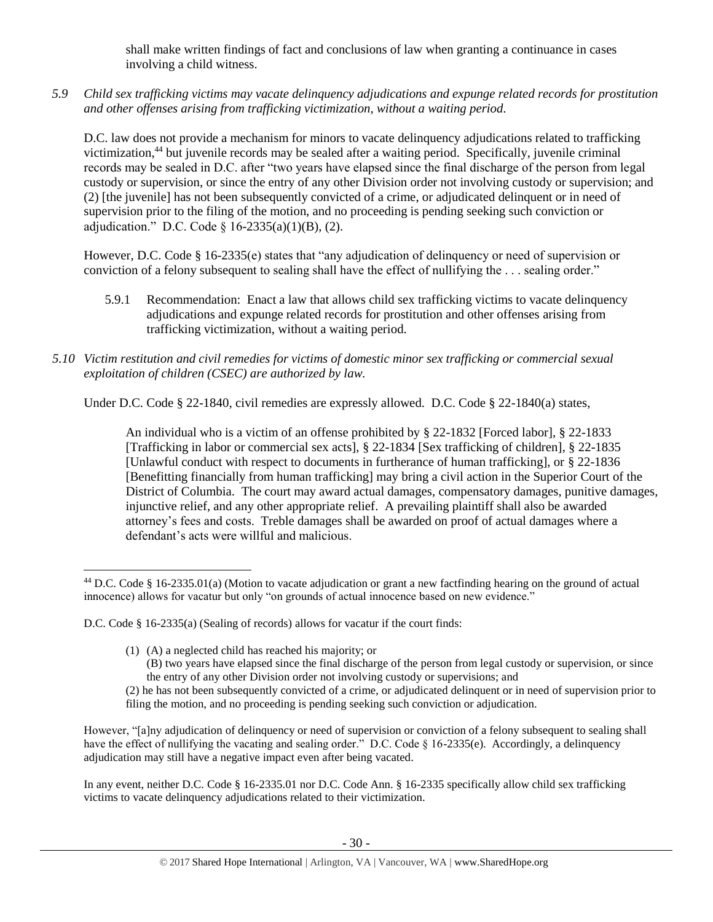shall make written findings of fact and conclusions of law when granting a continuance in cases involving a child witness.

*5.9 Child sex trafficking victims may vacate delinquency adjudications and expunge related records for prostitution and other offenses arising from trafficking victimization, without a waiting period.*

D.C. law does not provide a mechanism for minors to vacate delinquency adjudications related to trafficking victimization, <sup>44</sup> but juvenile records may be sealed after a waiting period. Specifically, juvenile criminal records may be sealed in D.C. after "two years have elapsed since the final discharge of the person from legal custody or supervision, or since the entry of any other Division order not involving custody or supervision; and (2) [the juvenile] has not been subsequently convicted of a crime, or adjudicated delinquent or in need of supervision prior to the filing of the motion, and no proceeding is pending seeking such conviction or adjudication." D.C. Code  $\S$  16-2335(a)(1)(B), (2).

However, D.C. Code § 16-2335(e) states that "any adjudication of delinquency or need of supervision or conviction of a felony subsequent to sealing shall have the effect of nullifying the . . . sealing order."

- 5.9.1 Recommendation: Enact a law that allows child sex trafficking victims to vacate delinquency adjudications and expunge related records for prostitution and other offenses arising from trafficking victimization, without a waiting period.
- *5.10 Victim restitution and civil remedies for victims of domestic minor sex trafficking or commercial sexual exploitation of children (CSEC) are authorized by law.*

Under D.C. Code § 22-1840, civil remedies are expressly allowed. D.C. Code § 22-1840(a) states,

An individual who is a victim of an offense prohibited by [§ 22-1832](http://www.lexis.com/research/buttonTFLink?_m=07a112f99e7b8fc566d4fcb4c9fa62a8&_xfercite=%3ccite%20cc%3d%22USA%22%3e%3c%21%5bCDATA%5bD.C.%20Code%20%a7%2022-1840%5d%5d%3e%3c%2fcite%3e&_butType=4&_butStat=0&_butNum=2&_butInline=1&_butinfo=DCCODE%2022-1832&_fmtstr=FULL&docnum=1&_startdoc=1&wchp=dGLzVzz-zSkAA&_md5=d09117c980fc6ae3a7b6bc3a56660f67) [Forced labor], [§ 22-1833](http://www.lexis.com/research/buttonTFLink?_m=07a112f99e7b8fc566d4fcb4c9fa62a8&_xfercite=%3ccite%20cc%3d%22USA%22%3e%3c%21%5bCDATA%5bD.C.%20Code%20%a7%2022-1840%5d%5d%3e%3c%2fcite%3e&_butType=4&_butStat=0&_butNum=3&_butInline=1&_butinfo=DCCODE%2022-1833&_fmtstr=FULL&docnum=1&_startdoc=1&wchp=dGLzVzz-zSkAA&_md5=b996211e6beb44df20c43519df6654e6) [Trafficking in labor or commercial sex acts], [§ 22-1834](http://www.lexis.com/research/buttonTFLink?_m=07a112f99e7b8fc566d4fcb4c9fa62a8&_xfercite=%3ccite%20cc%3d%22USA%22%3e%3c%21%5bCDATA%5bD.C.%20Code%20%a7%2022-1840%5d%5d%3e%3c%2fcite%3e&_butType=4&_butStat=0&_butNum=4&_butInline=1&_butinfo=DCCODE%2022-1834&_fmtstr=FULL&docnum=1&_startdoc=1&wchp=dGLzVzz-zSkAA&_md5=a5557eeba140e1bcab6b6dc9c7f4621d) [Sex trafficking of children], [§ 22-1835](http://www.lexis.com/research/buttonTFLink?_m=07a112f99e7b8fc566d4fcb4c9fa62a8&_xfercite=%3ccite%20cc%3d%22USA%22%3e%3c%21%5bCDATA%5bD.C.%20Code%20%a7%2022-1840%5d%5d%3e%3c%2fcite%3e&_butType=4&_butStat=0&_butNum=5&_butInline=1&_butinfo=DCCODE%2022-1835&_fmtstr=FULL&docnum=1&_startdoc=1&wchp=dGLzVzz-zSkAA&_md5=90f235c81fba6d5127da38fd762ebe2a) [Unlawful conduct with respect to documents in furtherance of human trafficking], or [§ 22-1836](http://www.lexis.com/research/buttonTFLink?_m=07a112f99e7b8fc566d4fcb4c9fa62a8&_xfercite=%3ccite%20cc%3d%22USA%22%3e%3c%21%5bCDATA%5bD.C.%20Code%20%a7%2022-1840%5d%5d%3e%3c%2fcite%3e&_butType=4&_butStat=0&_butNum=6&_butInline=1&_butinfo=DCCODE%2022-1836&_fmtstr=FULL&docnum=1&_startdoc=1&wchp=dGLzVzz-zSkAA&_md5=e9ef8b950cc329647e4a5bc7da987e65) [Benefitting financially from human trafficking] may bring a civil action in the Superior Court of the District of Columbia. The court may award actual damages, compensatory damages, punitive damages, injunctive relief, and any other appropriate relief. A prevailing plaintiff shall also be awarded attorney's fees and costs. Treble damages shall be awarded on proof of actual damages where a defendant's acts were willful and malicious.

(1) (A) a neglected child has reached his majority; or

 $\overline{\phantom{a}}$ 

- (B) two years have elapsed since the final discharge of the person from legal custody or supervision, or since the entry of any other Division order not involving custody or supervisions; and
- (2) he has not been subsequently convicted of a crime, or adjudicated delinquent or in need of supervision prior to filing the motion, and no proceeding is pending seeking such conviction or adjudication.

However, "[a]ny adjudication of delinquency or need of supervision or conviction of a felony subsequent to sealing shall have the effect of nullifying the vacating and sealing order." D.C. Code § 16-2335(e). Accordingly, a delinquency adjudication may still have a negative impact even after being vacated.

In any event, neither D.C. Code § 16-2335.01 nor D.C. Code Ann. § 16-2335 specifically allow child sex trafficking victims to vacate delinquency adjudications related to their victimization.

<sup>44</sup> D.C. Code § 16-2335.01(a) (Motion to vacate adjudication or grant a new factfinding hearing on the ground of actual innocence) allows for vacatur but only "on grounds of actual innocence based on new evidence."

D.C. Code § 16-2335(a) (Sealing of records) allows for vacatur if the court finds: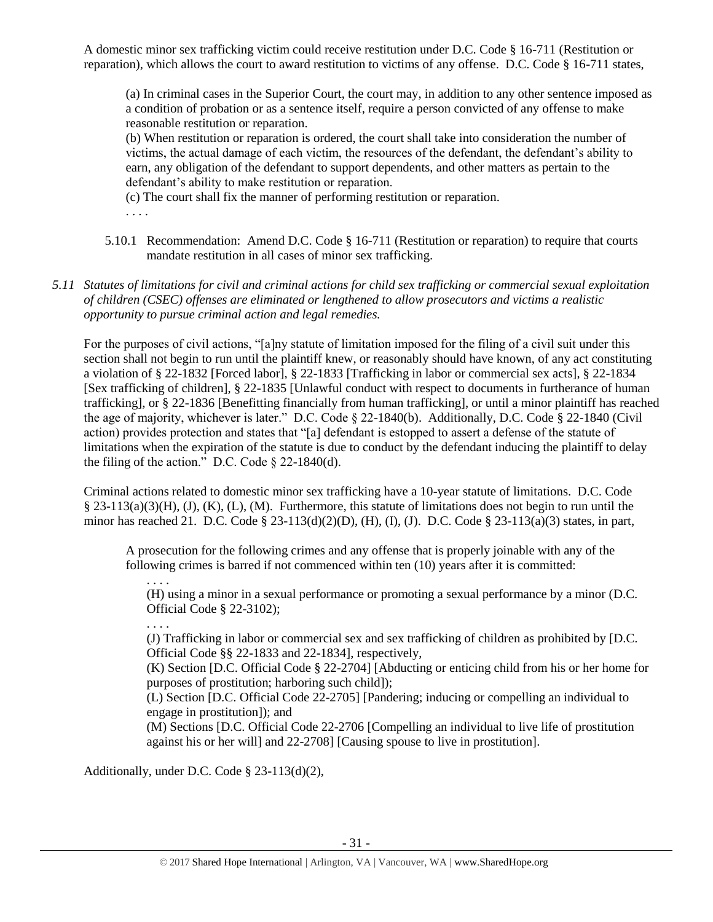A domestic minor sex trafficking victim could receive restitution under D.C. Code § 16-711 (Restitution or reparation), which allows the court to award restitution to victims of any offense. D.C. Code § 16-711 states,

(a) In criminal cases in the Superior Court, the court may, in addition to any other sentence imposed as a condition of probation or as a sentence itself, require a person convicted of any offense to make reasonable restitution or reparation.

(b) When restitution or reparation is ordered, the court shall take into consideration the number of victims, the actual damage of each victim, the resources of the defendant, the defendant's ability to earn, any obligation of the defendant to support dependents, and other matters as pertain to the defendant's ability to make restitution or reparation.

(c) The court shall fix the manner of performing restitution or reparation.

. . . .

- 5.10.1 Recommendation: Amend D.C. Code § 16-711 (Restitution or reparation) to require that courts mandate restitution in all cases of minor sex trafficking.
- *5.11 Statutes of limitations for civil and criminal actions for child sex trafficking or commercial sexual exploitation of children (CSEC) offenses are eliminated or lengthened to allow prosecutors and victims a realistic opportunity to pursue criminal action and legal remedies.*

For the purposes of civil actions, "[a]ny statute of limitation imposed for the filing of a civil suit under this section shall not begin to run until the plaintiff knew, or reasonably should have known, of any act constituting a violation of § 22-1832 [Forced labor], § 22-1833 [Trafficking in labor or commercial sex acts], § 22-1834 [Sex trafficking of children], § 22-1835 [Unlawful conduct with respect to documents in furtherance of human trafficking], or § 22-1836 [Benefitting financially from human trafficking], or until a minor plaintiff has reached the age of majority, whichever is later." D.C. Code § 22-1840(b). Additionally, D.C. Code § 22-1840 (Civil action) provides protection and states that "[a] defendant is estopped to assert a defense of the statute of limitations when the expiration of the statute is due to conduct by the defendant inducing the plaintiff to delay the filing of the action." D.C. Code  $\S$  22-1840(d).

Criminal actions related to domestic minor sex trafficking have a 10-year statute of limitations. D.C. Code § 23-113(a)(3)(H), (J), (K), (L), (M). Furthermore, this statute of limitations does not begin to run until the minor has reached 21. D.C. Code § 23-113(d)(2)(D), (H), (I), (J). D.C. Code § 23-113(a)(3) states, in part,

A prosecution for the following crimes and any offense that is properly joinable with any of the following crimes is barred if not commenced within ten (10) years after it is committed:

(H) using a minor in a sexual performance or promoting a sexual performance by a minor (D.C. Official Code § 22-3102);

. . . .

. . . .

(J) Trafficking in labor or commercial sex and sex trafficking of children as prohibited by [D.C. Official Code §§ 22-1833 and 22-1834], respectively,

(K) Section [D.C. Official Code § 22-2704] [Abducting or enticing child from his or her home for purposes of prostitution; harboring such child]);

(L) Section [D.C. Official Code 22-2705] [Pandering; inducing or compelling an individual to engage in prostitution]); and

(M) Sections [D.C. Official Code 22-2706 [Compelling an individual to live life of prostitution against his or her will] and 22-2708] [Causing spouse to live in prostitution].

Additionally, under D.C. Code § 23-113(d)(2),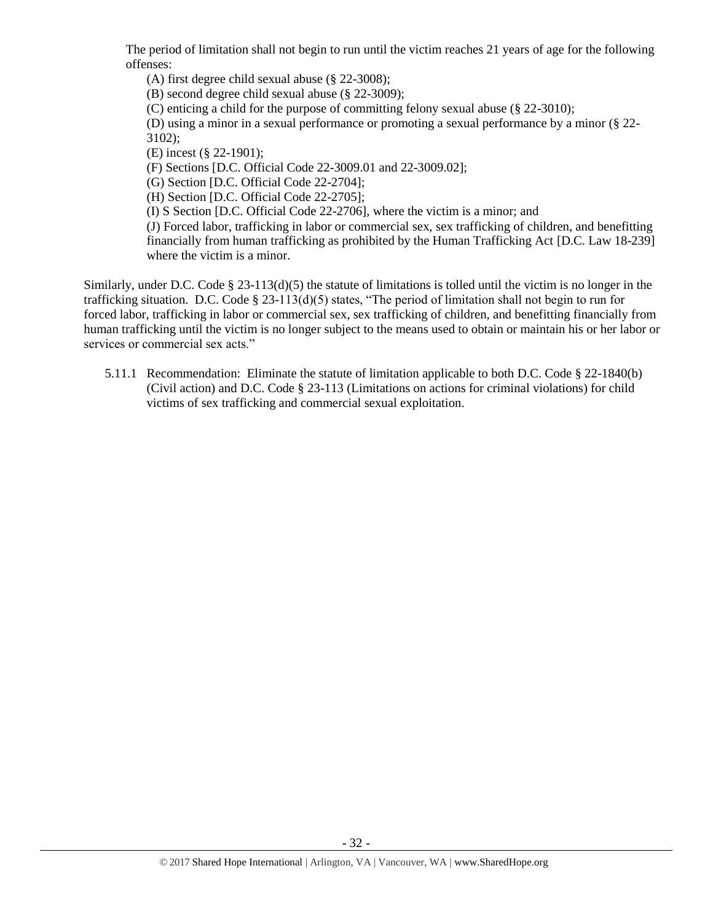The period of limitation shall not begin to run until the victim reaches 21 years of age for the following offenses:

(A) first degree child sexual abuse (§ 22-3008);

(B) second degree child sexual abuse (§ 22-3009);

(C) enticing a child for the purpose of committing felony sexual abuse (§ 22-3010);

(D) using a minor in a sexual performance or promoting a sexual performance by a minor (§ 22- 3102);

(E) incest (§ 22-1901);

(F) Sections [D.C. Official Code 22-3009.01 and 22-3009.02];

(G) Section [D.C. Official Code 22-2704];

(H) Section [D.C. Official Code 22-2705];

(I) S Section [D.C. Official Code 22-2706], where the victim is a minor; and

(J) Forced labor, trafficking in labor or commercial sex, sex trafficking of children, and benefitting financially from human trafficking as prohibited by the Human Trafficking Act [D.C. Law 18-239] where the victim is a minor.

Similarly, under D.C. Code  $\S 23-113(d)(5)$  the statute of limitations is tolled until the victim is no longer in the trafficking situation. D.C. Code  $\S 23-113(d)(5)$  states, "The period of limitation shall not begin to run for forced labor, trafficking in labor or commercial sex, sex trafficking of children, and benefitting financially from human trafficking until the victim is no longer subject to the means used to obtain or maintain his or her labor or services or commercial sex acts."

5.11.1 Recommendation: Eliminate the statute of limitation applicable to both D.C. Code § 22-1840(b) (Civil action) and D.C. Code § 23-113 (Limitations on actions for criminal violations) for child victims of sex trafficking and commercial sexual exploitation.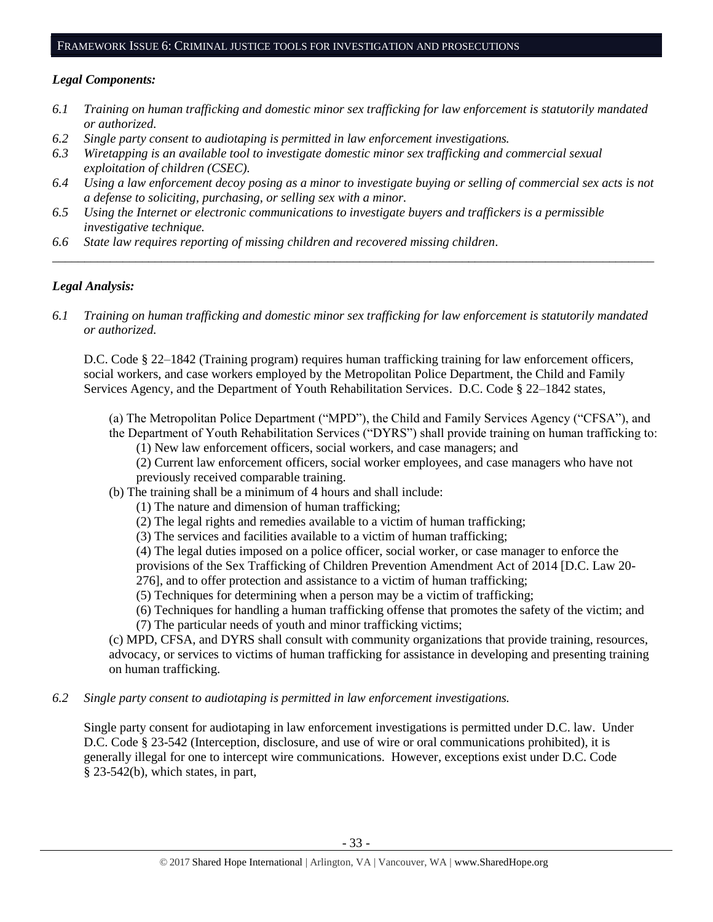#### FRAMEWORK ISSUE 6: CRIMINAL JUSTICE TOOLS FOR INVESTIGATION AND PROSECUTIONS

#### *Legal Components:*

- *6.1 Training on human trafficking and domestic minor sex trafficking for law enforcement is statutorily mandated or authorized.*
- *6.2 Single party consent to audiotaping is permitted in law enforcement investigations.*
- *6.3 Wiretapping is an available tool to investigate domestic minor sex trafficking and commercial sexual exploitation of children (CSEC).*
- *6.4 Using a law enforcement decoy posing as a minor to investigate buying or selling of commercial sex acts is not a defense to soliciting, purchasing, or selling sex with a minor.*

*\_\_\_\_\_\_\_\_\_\_\_\_\_\_\_\_\_\_\_\_\_\_\_\_\_\_\_\_\_\_\_\_\_\_\_\_\_\_\_\_\_\_\_\_\_\_\_\_\_\_\_\_\_\_\_\_\_\_\_\_\_\_\_\_\_\_\_\_\_\_\_\_\_\_\_\_\_\_\_\_\_\_\_\_\_\_\_\_\_\_\_\_\_\_*

- *6.5 Using the Internet or electronic communications to investigate buyers and traffickers is a permissible investigative technique.*
- *6.6 State law requires reporting of missing children and recovered missing children.*

## *Legal Analysis:*

*6.1 Training on human trafficking and domestic minor sex trafficking for law enforcement is statutorily mandated or authorized.*

D.C. Code § 22–1842 (Training program) requires human trafficking training for law enforcement officers, social workers, and case workers employed by the Metropolitan Police Department, the Child and Family Services Agency, and the Department of Youth Rehabilitation Services. D.C. Code § 22–1842 states,

- (a) The Metropolitan Police Department ("MPD"), the Child and Family Services Agency ("CFSA"), and the Department of Youth Rehabilitation Services ("DYRS") shall provide training on human trafficking to:
	- (1) New law enforcement officers, social workers, and case managers; and

(2) Current law enforcement officers, social worker employees, and case managers who have not previously received comparable training.

- (b) The training shall be a minimum of 4 hours and shall include:
	- (1) The nature and dimension of human trafficking;
	- (2) The legal rights and remedies available to a victim of human trafficking;
	- (3) The services and facilities available to a victim of human trafficking;
	- (4) The legal duties imposed on a police officer, social worker, or case manager to enforce the

provisions of the Sex Trafficking of Children Prevention Amendment Act of 2014 [D.C. Law 20-

276], and to offer protection and assistance to a victim of human trafficking;

(5) Techniques for determining when a person may be a victim of trafficking;

(6) Techniques for handling a human trafficking offense that promotes the safety of the victim; and (7) The particular needs of youth and minor trafficking victims;

(c) MPD, CFSA, and DYRS shall consult with community organizations that provide training, resources, advocacy, or services to victims of human trafficking for assistance in developing and presenting training on human trafficking.

*6.2 Single party consent to audiotaping is permitted in law enforcement investigations.*

Single party consent for audiotaping in law enforcement investigations is permitted under D.C. law. Under D.C. Code § 23-542 (Interception, disclosure, and use of wire or oral communications prohibited), it is generally illegal for one to intercept wire communications. However, exceptions exist under D.C. Code § 23-542(b), which states, in part,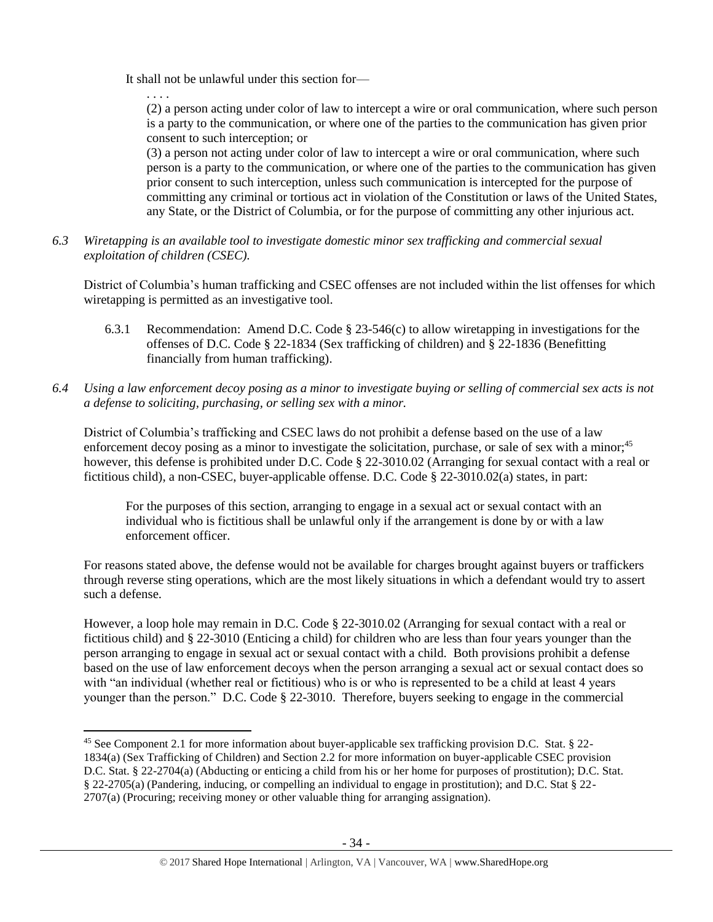It shall not be unlawful under this section for—

. . . . (2) a person acting under color of law to intercept a wire or oral communication, where such person is a party to the communication, or where one of the parties to the communication has given prior consent to such interception; or

(3) a person not acting under color of law to intercept a wire or oral communication, where such person is a party to the communication, or where one of the parties to the communication has given prior consent to such interception, unless such communication is intercepted for the purpose of committing any criminal or tortious act in violation of the Constitution or laws of the United States, any State, or the District of Columbia, or for the purpose of committing any other injurious act.

*6.3 Wiretapping is an available tool to investigate domestic minor sex trafficking and commercial sexual exploitation of children (CSEC).* 

District of Columbia's human trafficking and CSEC offenses are not included within the list offenses for which wiretapping is permitted as an investigative tool.

- 6.3.1 Recommendation: Amend D.C. Code § 23-546(c) to allow wiretapping in investigations for the offenses of D.C. Code § 22-1834 (Sex trafficking of children) and § 22-1836 (Benefitting financially from human trafficking).
- *6.4 Using a law enforcement decoy posing as a minor to investigate buying or selling of commercial sex acts is not a defense to soliciting, purchasing, or selling sex with a minor.*

District of Columbia's trafficking and CSEC laws do not prohibit a defense based on the use of a law enforcement decoy posing as a minor to investigate the solicitation, purchase, or sale of sex with a minor;<sup>45</sup> however, this defense is prohibited under D.C. Code § 22-3010.02 (Arranging for sexual contact with a real or fictitious child), a non-CSEC, buyer-applicable offense. D.C. Code § 22-3010.02(a) states, in part:

For the purposes of this section, arranging to engage in a sexual act or sexual contact with an individual who is fictitious shall be unlawful only if the arrangement is done by or with a law enforcement officer.

For reasons stated above, the defense would not be available for charges brought against buyers or traffickers through reverse sting operations, which are the most likely situations in which a defendant would try to assert such a defense.

However, a loop hole may remain in D.C. Code § 22-3010.02 (Arranging for sexual contact with a real or fictitious child) and § 22-3010 (Enticing a child) for children who are less than four years younger than the person arranging to engage in sexual act or sexual contact with a child. Both provisions prohibit a defense based on the use of law enforcement decoys when the person arranging a sexual act or sexual contact does so with "an individual (whether real or fictitious) who is or who is represented to be a child at least 4 years younger than the person." D.C. Code § 22-3010. Therefore, buyers seeking to engage in the commercial

 $\overline{\phantom{a}}$ <sup>45</sup> See Component 2.1 for more information about buyer-applicable sex trafficking provision D.C. Stat. § 22- 1834(a) (Sex Trafficking of Children) and Section 2.2 for more information on buyer-applicable CSEC provision D.C. Stat. § 22-2704(a) (Abducting or enticing a child from his or her home for purposes of prostitution); D.C. Stat. § 22-2705(a) (Pandering, inducing, or compelling an individual to engage in prostitution); and D.C. Stat § 22- 2707(a) (Procuring; receiving money or other valuable thing for arranging assignation).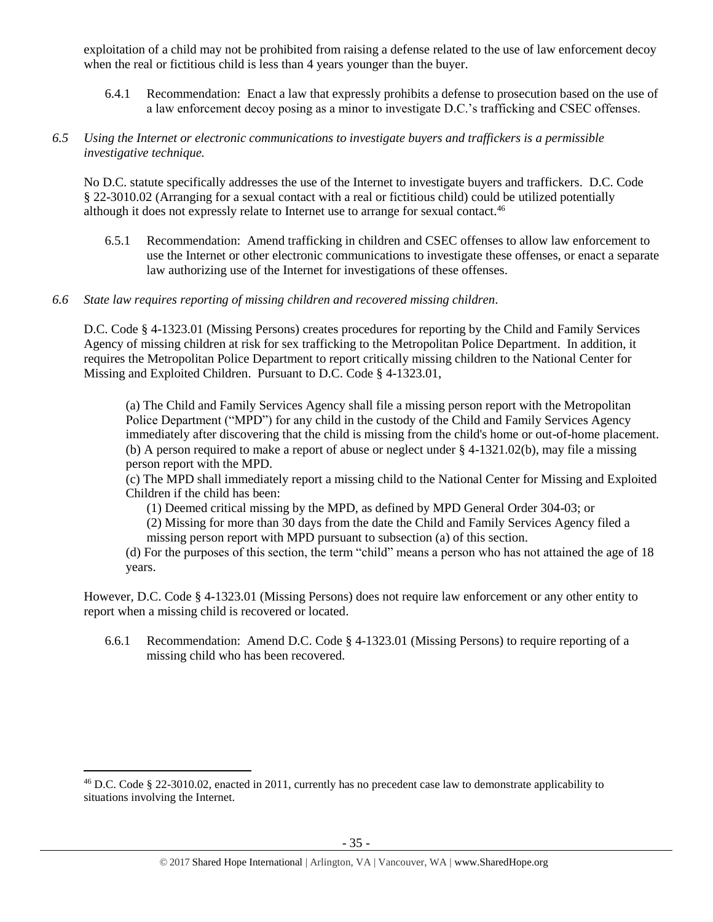exploitation of a child may not be prohibited from raising a defense related to the use of law enforcement decoy when the real or fictitious child is less than 4 years younger than the buyer.

- 6.4.1 Recommendation: Enact a law that expressly prohibits a defense to prosecution based on the use of a law enforcement decoy posing as a minor to investigate D.C.'s trafficking and CSEC offenses.
- *6.5 Using the Internet or electronic communications to investigate buyers and traffickers is a permissible investigative technique.*

No D.C. statute specifically addresses the use of the Internet to investigate buyers and traffickers. D.C. Code § 22-3010.02 (Arranging for a sexual contact with a real or fictitious child) could be utilized potentially although it does not expressly relate to Internet use to arrange for sexual contact.<sup>46</sup>

- 6.5.1 Recommendation: Amend trafficking in children and CSEC offenses to allow law enforcement to use the Internet or other electronic communications to investigate these offenses, or enact a separate law authorizing use of the Internet for investigations of these offenses.
- *6.6 State law requires reporting of missing children and recovered missing children.*

D.C. Code § 4-1323.01 (Missing Persons) creates procedures for reporting by the Child and Family Services Agency of missing children at risk for sex trafficking to the Metropolitan Police Department. In addition, it requires the Metropolitan Police Department to report critically missing children to the National Center for Missing and Exploited Children. Pursuant to D.C. Code § 4-1323.01,

(a) The Child and Family Services Agency shall file a missing person report with the Metropolitan Police Department ("MPD") for any child in the custody of the Child and Family Services Agency immediately after discovering that the child is missing from the child's home or out-of-home placement. (b) A person required to make a report of abuse or neglect under § 4-1321.02(b), may file a missing person report with the MPD.

(c) The MPD shall immediately report a missing child to the National Center for Missing and Exploited Children if the child has been:

(1) Deemed critical missing by the MPD, as defined by MPD General Order 304-03; or

(2) Missing for more than 30 days from the date the Child and Family Services Agency filed a

missing person report with MPD pursuant to subsection (a) of this section.

(d) For the purposes of this section, the term "child" means a person who has not attained the age of 18 years.

However, D.C. Code § 4-1323.01 (Missing Persons) does not require law enforcement or any other entity to report when a missing child is recovered or located.

6.6.1 Recommendation: Amend D.C. Code § 4-1323.01 (Missing Persons) to require reporting of a missing child who has been recovered.

 $\overline{\phantom{a}}$ 

<sup>46</sup> D.C. Code § 22-3010.02, enacted in 2011, currently has no precedent case law to demonstrate applicability to situations involving the Internet.